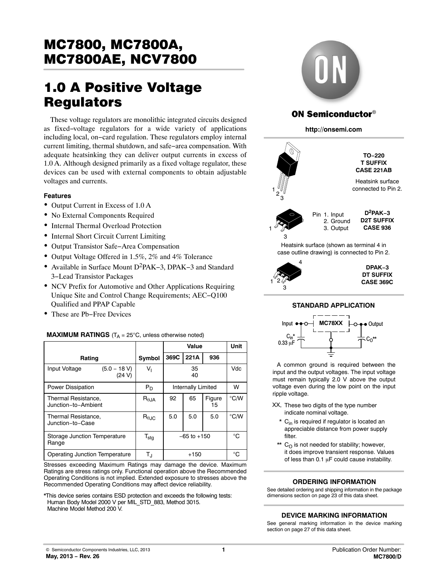## MC7800, MC7800A,<br>MC7800AE, NCV7800 <u>Mc7800A\_, NCV7800</u>

# 1.0 A Positive Voltage

These voltage regulators are monolithic integrated circuits designed as fixed−voltage regulators for a wide variety of applications including local, on−card regulation. These regulators employ internal current limiting, thermal shutdown, and safe−area compensation. With adequate heatsinking they can deliver output currents in excess of 1.0 A. Although designed primarily as a fixed voltage regulator, these devices can be used with external components to obtain adjustable voltages and currents.

#### **Features**

- Output Current in Excess of 1.0 A
- No External Components Required
- Internal Thermal Overload Protection
- Internal Short Circuit Current Limiting
- Output Transistor Safe−Area Compensation
- Output Voltage Offered in 1.5%, 2% and 4% Tolerance
- Available in Surface Mount D2PAK−3, DPAK−3 and Standard 3−Lead Transistor Packages
- NCV Prefix for Automotive and Other Applications Requiring Unique Site and Control Change Requirements; AEC−Q100 Qualified and PPAP Capable
- These are Pb−Free Devices

|                                            |                        |                          | Value    |     | <b>Unit</b> |
|--------------------------------------------|------------------------|--------------------------|----------|-----|-------------|
| Rating                                     | Symbol                 | 369C                     | 221A     | 936 |             |
| Input Voltage<br>$(5.0 - 18 V)$<br>(24 V)  | V,                     |                          | 35<br>40 |     | Vdc         |
| <b>Power Dissipation</b>                   | $P_D$                  | Internally Limited       | W        |     |             |
| Thermal Resistance,<br>Junction-to-Ambient | $R_{\theta$ JA         | 65<br>92<br>Figure<br>15 |          |     | °C/W        |
| Thermal Resistance,<br>Junction-to-Case    | $R_{\theta \text{JC}}$ | 5.0                      | 5.0      | 5.0 | °C/W        |
| Storage Junction Temperature<br>Range      | $T_{\text{stg}}$       | $-65$ to $+150$          | °C       |     |             |
| Operating Junction Temperature             | $T_{\rm J}$            |                          | $+150$   |     | °C          |

#### **MAXIMUM RATINGS**  $(T_A = 25^{\circ}C$ , unless otherwise noted)

Stresses exceeding Maximum Ratings may damage the device. Maximum Ratings are stress ratings only. Functional operation above the Recommended Operating Conditions is not implied. Extended exposure to stresses above the Recommended Operating Conditions may affect device reliability.

\*This device series contains ESD protection and exceeds the following tests: Human Body Model 2000 V per MIL\_STD\_883, Method 3015. Machine Model Method 200 V.



#### **ON Semiconductor**<sup>®</sup>

**http://onsemi.com**



#### **STANDARD APPLICATION**



A common ground is required between the input and the output voltages. The input voltage must remain typically 2.0 V above the output voltage even during the low point on the input ripple voltage.

- XX, These two digits of the type number indicate nominal voltage.
	- \* C<sub>in</sub> is required if regulator is located an appreciable distance from power supply filter.
- $^{\star\star}$  C<sub>O</sub> is not needed for stability; however, it does improve transient response. Values of less than  $0.1 \mu F$  could cause instability.

#### **ORDERING INFORMATION**

See detailed ordering and shipping information in the package dimensions section on page [23](#page-22-0) of this data sheet.

#### **DEVICE MARKING INFORMATION**

See general marking information in the device marking section on page [27](#page-26-0) of this data sheet.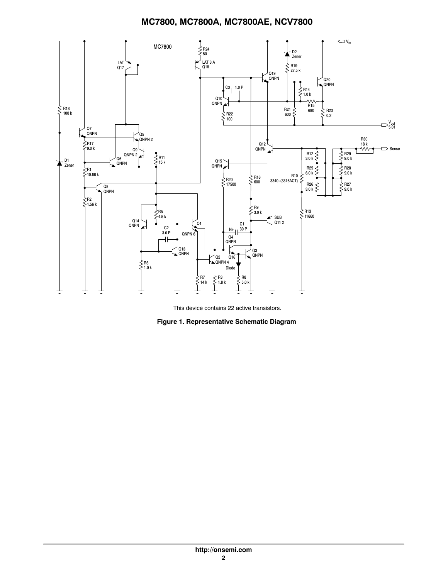

This device contains 22 active transistors.

**Figure 1. Representative Schematic Diagram**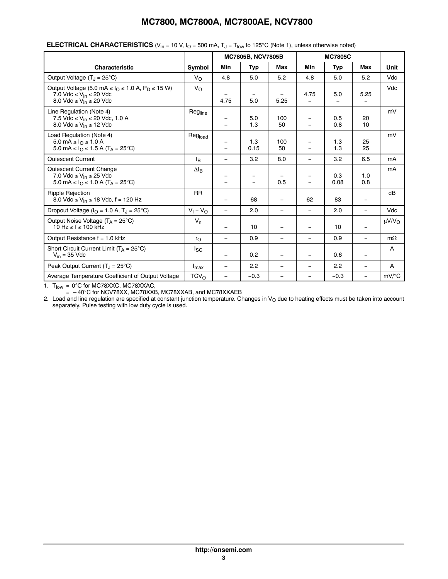|                                                                                                                                                                                      |                  |                          | MC7805B, NCV7805B        |                                  |                                      | <b>MC7805C</b> |                          |                        |
|--------------------------------------------------------------------------------------------------------------------------------------------------------------------------------------|------------------|--------------------------|--------------------------|----------------------------------|--------------------------------------|----------------|--------------------------|------------------------|
| Characteristic                                                                                                                                                                       | Symbol           | Min                      | <b>Typ</b>               | Max                              | Min                                  | <b>Typ</b>     | Max                      | Unit                   |
| Output Voltage $(T_J = 25^{\circ}C)$                                                                                                                                                 | $V_{\Omega}$     | 4.8                      | 5.0                      | 5.2                              | 4.8                                  | 5.0            | 5.2                      | Vdc                    |
| Output Voltage (5.0 mA $\leq$ $I_{\Omega}$ $\leq$ 1.0 A, P <sub>D</sub> $\leq$ 15 W)<br>7.0 Vdc $\leq$ V <sub>in</sub> $\leq$ 20 Vdc<br>8.0 Vdc $\leq$ V <sub>in</sub> $\leq$ 20 Vdc | $V_{\rm O}$      | 4.75                     | 5.0                      | $\overline{\phantom{m}}$<br>5.25 | 4.75                                 | 5.0            | 5.25                     | Vdc                    |
| Line Regulation (Note 4)<br>7.5 Vdc ≤ V <sub>in</sub> ≤ 20 Vdc, 1.0 A<br>8.0 Vdc $\leq$ V <sub>in</sub> $\leq$ 12 Vdc                                                                | Regline          |                          | 5.0<br>1.3               | 100<br>50                        | $\equiv$<br>$\overline{\phantom{0}}$ | 0.5<br>0.8     | 20<br>10                 | mV                     |
| Load Regulation (Note 4)<br>5.0 mA ≤ $IΩ$ ≤ 1.0 A<br>5.0 mA ≤ $I_0$ ≤ 1.5 A (T <sub>A</sub> = 25°C)                                                                                  | Regload          |                          | 1.3<br>0.15              | 100<br>50                        |                                      | 1.3<br>1.3     | 25<br>25                 | mV                     |
| Quiescent Current                                                                                                                                                                    | l <sub>B</sub>   | $\qquad \qquad -$        | 3.2                      | 8.0                              | $\overline{\phantom{0}}$             | 3.2            | 6.5                      | mA                     |
| Quiescent Current Change<br>7.0 Vdc $\leq$ V <sub>in</sub> $\leq$ 25 Vdc<br>5.0 mA ≤ $I_0$ ≤ 1.0 A (T <sub>A</sub> = 25°C)                                                           | $\Delta I_B$     |                          | $\overline{\phantom{0}}$ | 0.5                              |                                      | 0.3<br>0.08    | 1.0<br>0.8               | mA                     |
| <b>Ripple Rejection</b><br>8.0 Vdc $\leq$ V <sub>in</sub> $\leq$ 18 Vdc, f = 120 Hz                                                                                                  | <b>RR</b>        |                          | 68                       | $\overline{\phantom{m}}$         | 62                                   | 83             | $\overline{\phantom{m}}$ | dB                     |
| Dropout Voltage ( $IO = 1.0$ A, $TJ = 25$ °C)                                                                                                                                        | $V_1 - V_0$      |                          | 2.0                      | $\overline{\phantom{0}}$         | $\equiv$                             | 2.0            |                          | Vdc                    |
| Output Noise Voltage $(T_A = 25^{\circ}C)$<br>$10 \text{ Hz} \leq f \leq 100 \text{ kHz}$                                                                                            | $V_n$            |                          | 10                       | $\overline{\phantom{m}}$         | $\equiv$                             | 10             |                          | $\mu$ V/V <sub>O</sub> |
| Output Resistance $f = 1.0$ kHz                                                                                                                                                      | $r_{\rm O}$      |                          | 0.9                      | $\overline{\phantom{0}}$         | $\overline{\phantom{0}}$             | 0.9            | $\overline{\phantom{m}}$ | $m\Omega$              |
| Short Circuit Current Limit ( $T_A = 25^{\circ}C$ )<br>$V_{in}$ = 35 Vdc                                                                                                             | $I_{SC}$         |                          | 0.2                      |                                  | $\overline{\phantom{0}}$             | 0.6            |                          | A                      |
| Peak Output Current $(T_1 = 25^{\circ}C)$                                                                                                                                            | $I_{\text{max}}$ | $\overline{\phantom{0}}$ | 2.2                      | $\qquad \qquad -$                | $\overline{\phantom{0}}$             | 2.2            | $\overline{\phantom{0}}$ | A                      |
| Average Temperature Coefficient of Output Voltage                                                                                                                                    | TCV <sub>O</sub> |                          | $-0.3$                   | $\equiv$                         | $\overline{\phantom{0}}$             | $-0.3$         |                          | $mV$ /°C               |

#### **ELECTRICAL CHARACTERISTICS** ( $V_{in}$  = 10 V,  $I_0$  = 500 mA,  $T_J$  =  $T_{low}$  to 125°C (Note 1), unless otherwise noted)

1.  $T_{\text{low}} = 0^{\circ}$ C for MC78XXC, MC78XXAC,

 $=$   $-40^{\circ}$ C for NCV78XX, MC78XXB, MC78XXAB, and MC78XXAEB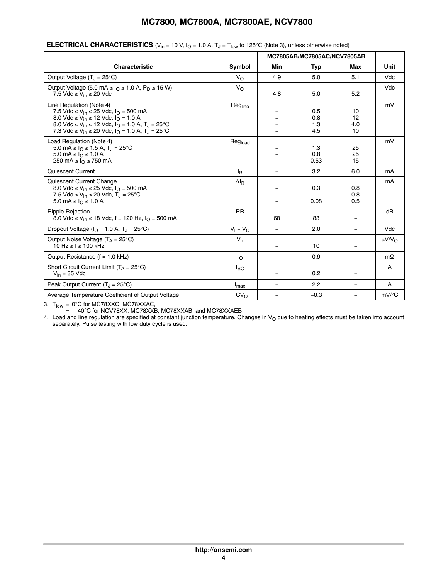|                                                                                                                                                                                                                                                                                                                                                      |                  |                          | MC7805AB/MC7805AC/NCV7805AB |                          |                     |
|------------------------------------------------------------------------------------------------------------------------------------------------------------------------------------------------------------------------------------------------------------------------------------------------------------------------------------------------------|------------------|--------------------------|-----------------------------|--------------------------|---------------------|
| <b>Characteristic</b>                                                                                                                                                                                                                                                                                                                                | Symbol           | Min                      | Typ                         | Max                      | Unit                |
| Output Voltage $(T_1 = 25^{\circ}C)$                                                                                                                                                                                                                                                                                                                 | $V_{\Omega}$     | 4.9                      | 5.0                         | 5.1                      | Vdc                 |
| Output Voltage (5.0 mA $\leq$ $IO$ $\leq$ 1.0 A, P <sub>D</sub> $\leq$ 15 W)<br>7.5 Vdc $\leq$ V <sub>in</sub> $\leq$ 20 Vdc                                                                                                                                                                                                                         | $V_{\Omega}$     | 4.8                      | 5.0                         | 5.2                      | Vdc                 |
| Line Regulation (Note 4)<br>7.5 Vdc ≤ V <sub>in</sub> ≤ 25 Vdc, $I_{\Omega}$ = 500 mA<br>8.0 Vdc ≤ V <sub>in</sub> ≤ 12 Vdc, I <sub>O</sub> = 1.0 A<br>8.0 Vdc $\leq$ V <sub>in</sub> $\leq$ 12 Vdc, I <sub>O</sub> = 1.0 A, T <sub>J</sub> = 25 <sup>°</sup> C<br>7.3 Vdc ≤ V <sub>in</sub> ≤ 20 Vdc, I <sub>O</sub> = 1.0 A, T <sub>J</sub> = 25°C | Regline          |                          | 0.5<br>0.8<br>1.3<br>4.5    | 10<br>12<br>4.0<br>10    | mV                  |
| Load Regulation (Note 4)<br>5.0 mA ≤ $IQ$ ≤ 1.5 A, T <sub>J</sub> = 25°C<br>5.0 mA ≤ $I_0$ ≤ 1.0 A<br>250 mA $\leq$ $I0 \leq$ 750 mA                                                                                                                                                                                                                 | Regload          |                          | 1.3<br>0.8<br>0.53          | 25<br>25<br>15           | mV                  |
| Quiescent Current                                                                                                                                                                                                                                                                                                                                    | l <sub>B</sub>   | $\equiv$                 | 3.2                         | 6.0                      | mA                  |
| Quiescent Current Change<br>8.0 Vdc ≤ V <sub>in</sub> ≤ 25 Vdc, I <sub>O</sub> = 500 mA<br>7.5 Vdc ≤ V <sub>in</sub> ≤ 20 Vdc, T <sub>J</sub> = 25°C<br>$5.0 \text{ mA} \leq I_0 \leq 1.0 \text{ A}$                                                                                                                                                 | $\Delta I_B$     |                          | 0.3<br>0.08                 | 0.8<br>0.8<br>0.5        | mA                  |
| <b>Ripple Rejection</b><br>8.0 Vdc $\leq$ V <sub>in</sub> $\leq$ 18 Vdc, f = 120 Hz, $I_{\Omega}$ = 500 mA                                                                                                                                                                                                                                           | <b>RR</b>        | 68                       | 83                          | $\overline{\phantom{a}}$ | dB                  |
| Dropout Voltage ( $I_{\Omega}$ = 1.0 A, T <sub>J</sub> = 25°C)                                                                                                                                                                                                                                                                                       | $V_1 - V_0$      | $\overline{\phantom{0}}$ | 2.0                         | $\equiv$                 | Vdc                 |
| Output Noise Voltage $(T_A = 25^{\circ}C)$<br>$10 \text{ Hz} \leq f \leq 100 \text{ kHz}$                                                                                                                                                                                                                                                            | $V_n$            | $\overline{\phantom{0}}$ | 10                          | $\qquad \qquad -$        | μ $V/V$ Ω           |
| Output Resistance $(f = 1.0$ kHz)                                                                                                                                                                                                                                                                                                                    | $r_{\Omega}$     | $\overline{\phantom{0}}$ | 0.9                         | $\qquad \qquad -$        | $m\Omega$           |
| Short Circuit Current Limit $(T_A = 25^{\circ}C)$<br>$V_{in}$ = 35 Vdc                                                                                                                                                                                                                                                                               | <sub>sc</sub>    |                          | 0.2                         |                          | A                   |
| Peak Output Current $(T_1 = 25^{\circ}C)$                                                                                                                                                                                                                                                                                                            | $I_{\text{max}}$ | $\overline{\phantom{0}}$ | 2.2                         | $\overline{\phantom{m}}$ | A                   |
| Average Temperature Coefficient of Output Voltage                                                                                                                                                                                                                                                                                                    | TCV <sub>O</sub> | $\equiv$                 | $-0.3$                      |                          | $mV$ <sup>o</sup> C |

#### <span id="page-3-0"></span>**ELECTRICAL CHARACTERISTICS** ( $V_{in}$  = 10 V,  $I_0$  = 1.0 A,  $T_J$  =  $T_{low}$  to 125°C (Note 3), unless otherwise noted)

3. T<sub>low</sub> = 0°C for MC78XXC, MC78XXAC,

 $=$   $-40^{\circ}$ C for NCV78XX, MC78XXB, MC78XXAB, and MC78XXAEB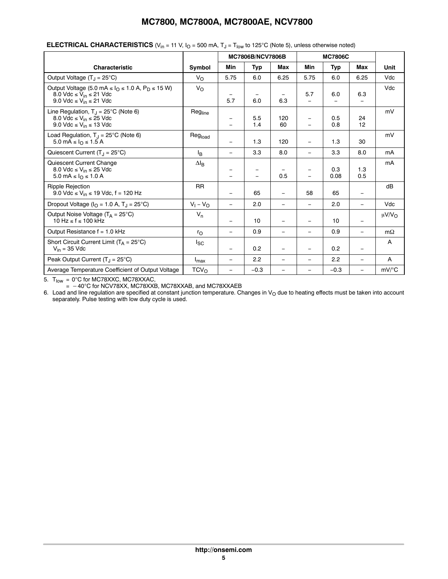|                                                                                                                                                                              |                    | <b>MC7806B/NCV7806B</b>  |            |                          |                                                      | <b>MC7806C</b> |                          |                    |
|------------------------------------------------------------------------------------------------------------------------------------------------------------------------------|--------------------|--------------------------|------------|--------------------------|------------------------------------------------------|----------------|--------------------------|--------------------|
| <b>Characteristic</b>                                                                                                                                                        | Symbol             | Min                      | Typ        | Max                      | <b>Min</b>                                           | Typ            | Max                      | Unit               |
| Output Voltage $(T_J = 25^{\circ}C)$                                                                                                                                         | $V_{\Omega}$       | 5.75                     | 6.0        | 6.25                     | 5.75                                                 | 6.0            | 6.25                     | Vdc                |
| Output Voltage (5.0 mA $\leq$ $IO$ $\leq$ 1.0 A, P <sub>D</sub> $\leq$ 15 W)<br>8.0 Vdc $\leq$ V <sub>in</sub> $\leq$ 21 Vdc<br>9.0 Vdc $\leq$ V <sub>in</sub> $\leq$ 21 Vdc | $V_{\Omega}$       | 5.7                      | 6.0        | 6.3                      | 5.7<br>$\equiv$                                      | 6.0            | 6.3                      | Vdc                |
| Line Regulation, $T_{J} = 25^{\circ}$ C (Note 6)<br>8.0 Vdc $\leq$ V <sub>in</sub> $\leq$ 25 Vdc<br>9.0 Vdc $\leq$ V <sub>in</sub> $\leq$ 13 Vdc                             | Regline            |                          | 5.5<br>1.4 | 120<br>60                | $\qquad \qquad \blacksquare$<br>$=$                  | 0.5<br>0.8     | 24<br>12                 | mV                 |
| Load Regulation, $T_{\text{J}}$ = 25°C (Note 6)<br>5.0 mA $\leq$ $I0 \leq$ 1.5 A                                                                                             | Regload            | $\overline{\phantom{0}}$ | 1.3        | 120                      | $\overline{\phantom{0}}$                             | 1.3            | 30                       | mV                 |
| Quiescent Current $(T_J = 25^{\circ}C)$                                                                                                                                      | l <sub>B</sub>     | $\qquad \qquad -$        | 3.3        | 8.0                      | $\qquad \qquad =$                                    | 3.3            | 8.0                      | mA                 |
| Quiescent Current Change<br>8.0 Vdc $\leq$ V <sub>in</sub> $\leq$ 25 Vdc<br>5.0 mA $\leq$ $I_{\Omega}$ $\leq$ 1.0 A                                                          | $\Delta I_B$       |                          | $\equiv$   | 0.5                      | $\overline{\phantom{0}}$<br>$\overline{\phantom{0}}$ | 0.3<br>0.08    | 1.3<br>0.5               | mA                 |
| <b>Ripple Rejection</b><br>9.0 Vdc ≤ V <sub>in</sub> ≤ 19 Vdc, f = 120 Hz                                                                                                    | <b>RR</b>          |                          | 65         |                          | 58                                                   | 65             |                          | dB                 |
| Dropout Voltage ( $IO = 1.0$ A, $TJ = 25$ °C)                                                                                                                                | $V_1 - V_{\Omega}$ | $\overline{\phantom{0}}$ | 2.0        | $\overline{\phantom{m}}$ | $\qquad \qquad =$                                    | 2.0            | $\qquad \qquad -$        | Vdc                |
| Output Noise Voltage $(T_A = 25^{\circ}C)$<br>$10 \text{ Hz} \leq f \leq 100 \text{ kHz}$                                                                                    | $V_n$              |                          | 10         |                          | $\overline{\phantom{0}}$                             | 10             |                          | $\mu V/V_{\Omega}$ |
| Output Resistance f = 1.0 kHz                                                                                                                                                | ro                 | $\overline{\phantom{m}}$ | 0.9        | $\overline{\phantom{m}}$ | $\qquad \qquad =$                                    | 0.9            | $\overline{\phantom{0}}$ | $m\Omega$          |
| Short Circuit Current Limit $(T_A = 25^{\circ}C)$<br>$V_{in}$ = 35 Vdc                                                                                                       | $I_{SC}$           | $\overline{\phantom{a}}$ | 0.2        |                          | $\overline{\phantom{0}}$                             | 0.2            |                          | A                  |
| Peak Output Current $(T_J = 25^{\circ}C)$                                                                                                                                    | $I_{\text{max}}$   |                          | 2.2        | $\overline{\phantom{m}}$ | $\overline{\phantom{0}}$                             | 2.2            | $\qquad \qquad -$        | A                  |
| Average Temperature Coefficient of Output Voltage                                                                                                                            | TCV <sub>O</sub>   |                          | $-0.3$     |                          |                                                      | $-0.3$         | $\qquad \qquad -$        | $mV$ /°C           |

#### **ELECTRICAL CHARACTERISTICS** ( $V_{in}$  = 11 V,  $I_0$  = 500 mA,  $T_J$  =  $T_{low}$  to 125°C (Note 5), unless otherwise noted)

5.  $\, {\sf T}_{\textsf{low}} \,$  = 0°C for MC78XXC, MC78XXAC,

 $=$   $-40^{\circ}$ C for NCV78XX, MC78XXB, MC78XXAB, and MC78XXAEB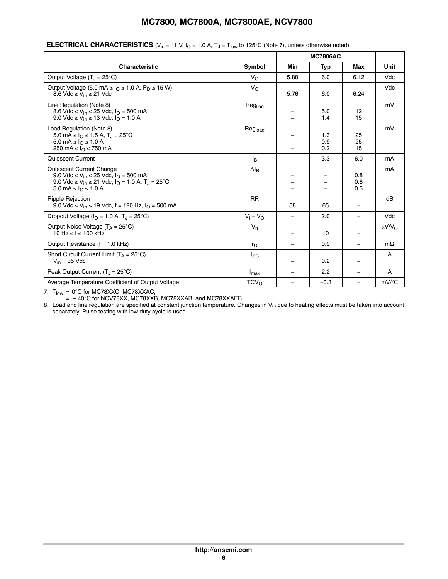|                                                                                                                                                                                                                              |                     | <b>MC7806AC</b>          |                   |                          |                     |
|------------------------------------------------------------------------------------------------------------------------------------------------------------------------------------------------------------------------------|---------------------|--------------------------|-------------------|--------------------------|---------------------|
| <b>Characteristic</b>                                                                                                                                                                                                        | Symbol              | <b>Min</b>               | Typ               | Max                      | Unit                |
| Output Voltage $(T_1 = 25^{\circ}C)$                                                                                                                                                                                         | $V_{\rm O}$         | 5.88                     | 6.0               | 6.12                     | Vdc                 |
| Output Voltage (5.0 mA $\leq$ I <sub>O</sub> $\leq$ 1.0 A, P <sub>D</sub> $\leq$ 15 W)<br>8.6 Vdc $\leq$ V <sub>in</sub> $\leq$ 21 Vdc                                                                                       | $V_{\rm O}$         | 5.76                     | 6.0               | 6.24                     | Vdc                 |
| Line Regulation (Note 8)<br>8.6 Vdc ≤ V <sub>in</sub> ≤ 25 Vdc, $I_{\Omega}$ = 500 mA<br>9.0 Vdc ≤ V <sub>in</sub> ≤ 13 Vdc, I <sub>O</sub> = 1.0 A                                                                          | Reg <sub>line</sub> |                          | 5.0<br>1.4        | 12<br>15                 | mV                  |
| Load Regulation (Note 8)<br>5.0 mA ≤ $IQ$ ≤ 1.5 A, T <sub>J</sub> = 25°C<br>5.0 mA ≤ $I_0$ ≤ 1.0 A<br>250 mA ≤ $I0$ ≤ 750 mA                                                                                                 | Regload             |                          | 1.3<br>0.9<br>0.2 | 25<br>25<br>15           | mV                  |
| Quiescent Current                                                                                                                                                                                                            | l <sub>B</sub>      | $\overline{\phantom{m}}$ | 3.3               | 6.0                      | mA                  |
| Quiescent Current Change<br>9.0 Vdc ≤ V <sub>in</sub> ≤ 25 Vdc, I <sub>O</sub> = 500 mA<br>9.0 Vdc ≤ V <sub>in</sub> ≤ 21 Vdc, I <sub>O</sub> = 1.0 A, T <sub>J</sub> = 25°C<br>$5.0 \text{ mA} \leq I_0 \leq 1.0 \text{ A}$ | $\Delta I_B$        |                          |                   | 0.8<br>0.8<br>0.5        | mA                  |
| <b>Ripple Rejection</b><br>9.0 Vdc ≤ V <sub>in</sub> ≤ 19 Vdc, f = 120 Hz, $IO$ = 500 mA                                                                                                                                     | <b>RR</b>           | 58                       | 65                | $=$                      | dB                  |
| Dropout Voltage ( $I_{\Omega}$ = 1.0 A, T <sub>.1</sub> = 25°C)                                                                                                                                                              | $V_1 - V_0$         | $\overline{\phantom{m}}$ | 2.0               | $\overline{\phantom{0}}$ | Vdc                 |
| Output Noise Voltage $(T_A = 25^{\circ}C)$<br>$10 \text{ Hz} \leq f \leq 100 \text{ kHz}$                                                                                                                                    | $V_n$               |                          | 10                | Ξ.                       | μ $V/V$ Ω           |
| Output Resistance (f = 1.0 kHz)                                                                                                                                                                                              | $r_{\rm O}$         |                          | 0.9               | $\qquad \qquad =$        | $m\Omega$           |
| Short Circuit Current Limit $(T_A = 25^{\circ}C)$<br>$V_{in}$ = 35 Vdc                                                                                                                                                       | lsc                 |                          | 0.2               | $\equiv$                 | A                   |
| Peak Output Current $(T_1 = 25^{\circ}C)$                                                                                                                                                                                    | $I_{\text{max}}$    | $\overline{\phantom{m}}$ | 2.2               | $\equiv$                 | A                   |
| Average Temperature Coefficient of Output Voltage                                                                                                                                                                            | TCV <sub>0</sub>    |                          | $-0.3$            |                          | $mV$ <sup>o</sup> C |

#### **ELECTRICAL CHARACTERISTICS** ( $V_{in}$  = 11 V,  $I_0$  = 1.0 A,  $T_J$  =  $T_{low}$  to 125°C (Note 7), unless otherwise noted)

7. T<sub>low</sub> = 0°C for MC78XXC, MC78XXAC,

=  $-40^{\circ}$ C for NCV78XX, MC78XXB, MC78XXAB, and MC78XXAEB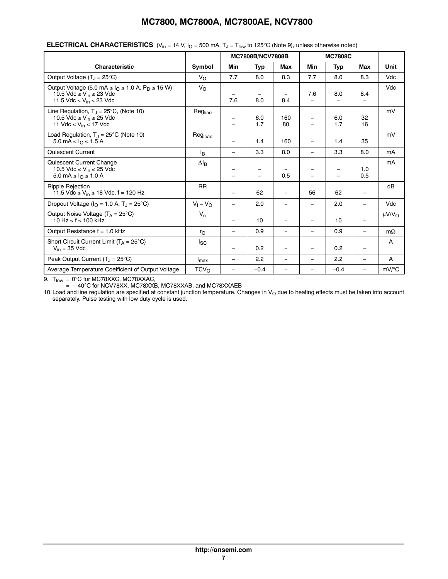| ----- \'                                                                                                                                                                       |                    |                               |                         |                                 |                                               |                          |                          |                        |  |  |  |  |  |
|--------------------------------------------------------------------------------------------------------------------------------------------------------------------------------|--------------------|-------------------------------|-------------------------|---------------------------------|-----------------------------------------------|--------------------------|--------------------------|------------------------|--|--|--|--|--|
|                                                                                                                                                                                |                    |                               | <b>MC7808B/NCV7808B</b> |                                 |                                               | <b>MC7808C</b>           |                          |                        |  |  |  |  |  |
| <b>Characteristic</b>                                                                                                                                                          | Symbol             | Min                           | Typ                     | Max                             | Min                                           | Typ                      | Max                      | Unit                   |  |  |  |  |  |
| Output Voltage (T <sub>J</sub> = 25°C)                                                                                                                                         | $V_{\rm O}$        | 7.7                           | 8.0                     | 8.3                             | 7.7                                           | 8.0                      | 8.3                      | Vdc                    |  |  |  |  |  |
| Output Voltage (5.0 mA $\leq$ $IO$ $\leq$ 1.0 A, P <sub>D</sub> $\leq$ 15 W)<br>10.5 Vdc $\leq$ V <sub>in</sub> $\leq$ 23 Vdc<br>11.5 Vdc $\leq$ V <sub>in</sub> $\leq$ 23 Vdc | $V_{\rm O}$        | -<br>7.6                      | 8.0                     | $\overline{\phantom{m}}$<br>8.4 | 7.6<br>L.                                     | 8.0                      | 8.4                      | Vdc                    |  |  |  |  |  |
| Line Regulation, $T_{\text{I}} = 25^{\circ}$ C, (Note 10)<br>10.5 Vdc $\leq$ V <sub>in</sub> $\leq$ 25 Vdc<br>11 Vdc $\leq$ V <sub>in</sub> $\leq$ 17 Vdc                      | Regline            | -<br>$\overline{\phantom{0}}$ | 6.0<br>1.7              | 160<br>80                       | $\overline{\phantom{m}}$<br>$\qquad \qquad -$ | 6.0<br>1.7               | 32<br>16                 | mV                     |  |  |  |  |  |
| Load Regulation, $T_{J} = 25^{\circ}$ C (Note 10)<br>5.0 mA $\leq$ $I_{\Omega} \leq 1.5$ A                                                                                     | Regload            | -                             | 1.4                     | 160                             | $\equiv$                                      | 1.4                      | 35                       | mV                     |  |  |  |  |  |
| Quiescent Current                                                                                                                                                              | l <sub>R</sub>     | $\equiv$                      | 3.3                     | 8.0                             | $\equiv$                                      | 3.3                      | 8.0                      | mA                     |  |  |  |  |  |
| Quiescent Current Change<br>10.5 Vdc $\leq$ V <sub>in</sub> $\leq$ 25 Vdc<br>5.0 mA ≤ $I_0$ ≤ 1.0 A                                                                            | $\Delta I_B$       | -<br>-                        |                         | 0.5                             |                                               | $\overline{\phantom{0}}$ | 1.0<br>0.5               | mA                     |  |  |  |  |  |
| <b>Ripple Rejection</b><br>11.5 Vdc ≤ V <sub>in</sub> ≤ 18 Vdc, f = 120 Hz                                                                                                     | <b>RR</b>          | $\overline{\phantom{0}}$      | 62                      | $\overline{\phantom{0}}$        | 56                                            | 62                       | $\overline{\phantom{a}}$ | dB                     |  |  |  |  |  |
| Dropout Voltage ( $IO = 1.0$ A, $TJ = 25$ °C)                                                                                                                                  | $V_1 - V_{\Omega}$ | $\equiv$                      | 2.0                     | $\overline{\phantom{0}}$        | $\equiv$                                      | 2.0                      | $\overline{\phantom{0}}$ | Vdc                    |  |  |  |  |  |
| Output Noise Voltage $(T_A = 25^{\circ}C)$<br>$10 \text{ Hz} \leq f \leq 100 \text{ kHz}$                                                                                      | $V_n$              | $\equiv$                      | 10                      | -                               | $\qquad \qquad -$                             | 10                       |                          | $\mu$ V/V <sub>O</sub> |  |  |  |  |  |
| Output Resistance $f = 1.0$ kHz                                                                                                                                                | $r_{\Omega}$       | $\equiv$                      | 0.9                     | -                               | $\qquad \qquad =$                             | 0.9                      | $\overline{\phantom{0}}$ | $m\Omega$              |  |  |  |  |  |
| Short Circuit Current Limit $(T_A = 25^{\circ}C)$<br>$V_{in}$ = 35 Vdc                                                                                                         | $I_{SC}$           | $\overline{\phantom{0}}$      | 0.2                     | $\overline{\phantom{0}}$        | $\overline{\phantom{0}}$                      | 0.2                      | $\overline{\phantom{0}}$ | A                      |  |  |  |  |  |
| Peak Output Current $(T_1 = 25^{\circ}C)$                                                                                                                                      | $I_{\text{max}}$   | $\equiv$                      | 2.2                     | $\overline{\phantom{0}}$        | $\qquad \qquad -$                             | 2.2                      | $\overline{\phantom{0}}$ | A                      |  |  |  |  |  |
| Average Temperature Coefficient of Output Voltage                                                                                                                              | TCV <sub>O</sub>   | $\overline{\phantom{0}}$      | $-0.4$                  |                                 | $\qquad \qquad -$                             | $-0.4$                   | $\overline{\phantom{0}}$ | mV/°C                  |  |  |  |  |  |

#### **ELECTRICAL CHARACTERISTICS**  $(V_{in} = 14 \ V_{i} I_{0} = 500 \ mA$ ,  $T_{i} = T_{low}$  to 125°C (Note 9), unless otherwise noted)

9.  $T_{\textsf{low}}$  = 0°C for MC78XXC, MC78XXAC,

=  $-40^{\circ}$ C for NCV78XX, MC78XXB, MC78XXAB, and MC78XXAEB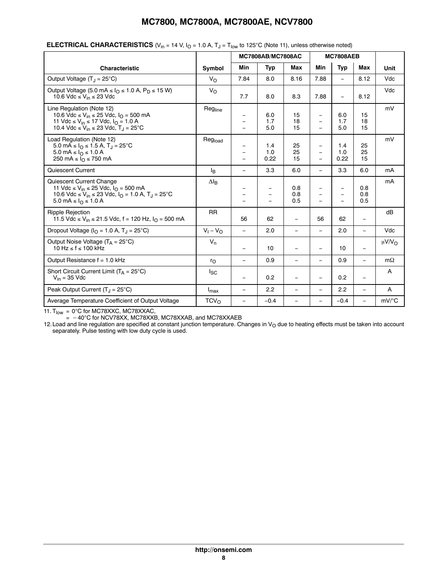|                                                                                                                                                                                                                    |                    | <b>MC7808AB/MC7808AC</b>                                                  |                          |                          |                      | <b>MC7808AEB</b>         |                   |             |
|--------------------------------------------------------------------------------------------------------------------------------------------------------------------------------------------------------------------|--------------------|---------------------------------------------------------------------------|--------------------------|--------------------------|----------------------|--------------------------|-------------------|-------------|
| <b>Characteristic</b>                                                                                                                                                                                              | Symbol             | Min                                                                       | <b>Typ</b>               | Max                      | Min                  | <b>Typ</b>               | Max               | Unit        |
| Output Voltage $(T_1 = 25^{\circ}C)$                                                                                                                                                                               | $V_{\Omega}$       | 7.84                                                                      | 8.0                      | 8.16                     | 7.88                 | L.                       | 8.12              | Vdc         |
| Output Voltage (5.0 mA $\leq$ I <sub>O</sub> $\leq$ 1.0 A, P <sub>D</sub> $\leq$ 15 W)<br>10.6 Vdc $\leq$ V <sub>in</sub> $\leq$ 23 Vdc                                                                            | $V_{\Omega}$       | 7.7                                                                       | 8.0                      | 8.3                      | 7.88                 | ÷,                       | 8.12              | Vdc         |
| Line Regulation (Note 12)<br>10.6 Vdc ≤ V <sub>in</sub> ≤ 25 Vdc, $I_{\Omega}$ = 500 mA<br>11 Vdc ≤ V <sub>in</sub> ≤ 17 Vdc, I <sub>O</sub> = 1.0 A<br>10.4 Vdc ≤ V <sub>in</sub> ≤ 23 Vdc, T <sub>J</sub> = 25°C | Regline            | $\overline{\phantom{0}}$                                                  | 6.0<br>1.7<br>5.0        | 15<br>18<br>15           | ÷,                   | 6.0<br>1.7<br>5.0        | 15<br>18<br>15    | mV          |
| Load Regulation (Note 12)<br>5.0 mA ≤ $IO$ ≤ 1.5 A, T <sub>J</sub> = 25°C<br>5.0 mA $\leq$ $I_{\Omega} \leq 1.0$ A<br>250 mA $\leq$ $IQ \leq$ 750 mA                                                               | Regload            | $\overline{\phantom{0}}$<br>$\qquad \qquad -$<br>$\overline{\phantom{0}}$ | 1.4<br>1.0<br>0.22       | 25<br>25<br>15           | Ξ.<br>÷,<br>$\equiv$ | 1.4<br>1.0<br>0.22       | 25<br>25<br>15    | mV          |
| Quiescent Current                                                                                                                                                                                                  | Iв                 | $\equiv$                                                                  | 3.3                      | 6.0                      | $=$                  | 3.3                      | 6.0               | mA          |
| Quiescent Current Change<br>11 Vdc ≤ V <sub>in</sub> ≤ 25 Vdc, I <sub>O</sub> = 500 mA<br>10.6 Vdc ≤ V <sub>in</sub> ≤ 23 Vdc, I <sub>O</sub> = 1.0 A, T <sub>J</sub> = 25°C<br>5.0 mA ≤ $I_0$ ≤ 1.0 A             | $\Delta I_B$       | $\overline{\phantom{0}}$                                                  | $\overline{\phantom{0}}$ | 0.8<br>0.8<br>0.5        | ÷,                   | $\overline{\phantom{0}}$ | 0.8<br>0.8<br>0.5 | mA          |
| <b>Ripple Rejection</b><br>11.5 Vdc ≤ V <sub>in</sub> ≤ 21.5 Vdc, f = 120 Hz, l <sub>O</sub> = 500 mA                                                                                                              | <b>RR</b>          | 56                                                                        | 62                       | $\overline{\phantom{0}}$ | 56                   | 62                       | $\qquad \qquad =$ | dB          |
| Dropout Voltage ( $IO = 1.0 A$ , $TJ = 25°C$ )                                                                                                                                                                     | $V_1 - V_{\Omega}$ | $\overline{\phantom{0}}$                                                  | 2.0                      | $\equiv$                 | $\equiv$             | 2.0                      | $\equiv$          | Vdc         |
| Output Noise Voltage $(T_A = 25^{\circ}C)$<br>10 Hz ≤ f ≤ 100 kHz                                                                                                                                                  | $V_n$              | $\equiv$                                                                  | 10                       | $\equiv$                 | -                    | 10                       | $\equiv$          | $\mu V/V_O$ |
| Output Resistance $f = 1.0$ kHz                                                                                                                                                                                    | $r_{\rm O}$        | $\overline{\phantom{0}}$                                                  | 0.9                      | $\overline{\phantom{0}}$ | Ξ.                   | 0.9                      | $\equiv$          | $m\Omega$   |
| Short Circuit Current Limit ( $T_A = 25^{\circ}C$ )<br>$V_{in}$ = 35 Vdc                                                                                                                                           | <sub>sc</sub>      | $\overline{\phantom{0}}$                                                  | 0.2                      | $\overline{\phantom{0}}$ |                      | 0.2                      | $\equiv$          | A           |
| Peak Output Current $(T_J = 25^{\circ}C)$                                                                                                                                                                          | $I_{\text{max}}$   | $\overline{\phantom{0}}$                                                  | 2.2                      | $\qquad \qquad -$        | Ξ.                   | 2.2                      | $\qquad \qquad -$ | Α           |
| Average Temperature Coefficient of Output Voltage                                                                                                                                                                  | $TCV_{\Omega}$     | $\overline{\phantom{0}}$                                                  | $-0.4$                   | ÷,                       | -                    | $-0.4$                   | $\equiv$          | mV/°C       |

#### **ELECTRICAL CHARACTERISTICS** ( $V_{in}$  = 14 V,  $I_{O}$  = 1.0 A,  $T_{J}$  =  $T_{low}$  to 125°C (Note 11), unless otherwise noted)

11.  $T_{\text{low}} = 0^{\circ}$ C for MC78XXC, MC78XXAC,

 $=$   $-40^{\circ}$ C for NCV78XX, MC78XXB, MC78XXAB, and MC78XXAEB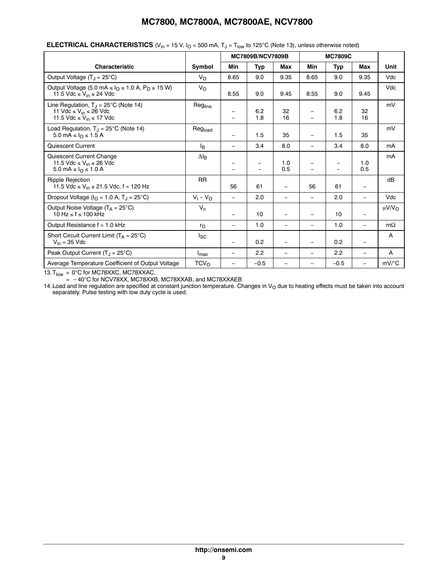|                                                                                                                                                |                     |                                                      | <b>MC7809B/NCV7809B</b> |                          |                   | <b>MC7809C</b> |                          |                        |  |  |  |  |
|------------------------------------------------------------------------------------------------------------------------------------------------|---------------------|------------------------------------------------------|-------------------------|--------------------------|-------------------|----------------|--------------------------|------------------------|--|--|--|--|
| <b>Characteristic</b>                                                                                                                          | Symbol              | Min                                                  | <b>Typ</b>              | <b>Max</b>               | Min               | <b>Typ</b>     | <b>Max</b>               | <b>Unit</b>            |  |  |  |  |
| Output Voltage $(T_1 = 25^{\circ}C)$                                                                                                           | $V_{\rm O}$         | 8.65                                                 | 9.0                     | 9.35                     | 8.65              | 9.0            | 9.35                     | Vdc                    |  |  |  |  |
| Output Voltage (5.0 mA $\leq$ $I_O \leq 1.0$ A, $P_D \leq 15$ W)<br>11.5 Vdc $\leq$ V <sub>in</sub> $\leq$ 24 Vdc                              | $V_{\rm O}$         | 8.55                                                 | 9.0                     | 9.45                     | 8.55              | 9.0            | 9.45                     | Vdc                    |  |  |  |  |
| Line Regulation, $T_J = 25^{\circ}C$ (Note 14)<br>11 Vdc $\leq$ V <sub>in</sub> $\leq$ 26 Vdc<br>11.5 Vdc $\leq$ V <sub>in</sub> $\leq$ 17 Vdc | Reg <sub>line</sub> | $\overline{\phantom{0}}$<br>$\overline{\phantom{0}}$ | 6.2<br>1.8              | 32<br>16                 |                   | 6.2<br>1.8     | 32<br>16                 | mV                     |  |  |  |  |
| Load Regulation, $T_J = 25^{\circ}C$ (Note 14)<br>5.0 mA ≤ $IQ$ ≤ 1.5 A                                                                        | Regload             | $=$                                                  | 1.5                     | 35                       | $\equiv$          | 1.5            | 35                       | mV                     |  |  |  |  |
| Quiescent Current                                                                                                                              | l <sub>B</sub>      | $\overline{\phantom{0}}$                             | 3.4                     | 8.0                      | $\qquad \qquad -$ | 3.4            | 8.0                      | mA                     |  |  |  |  |
| Quiescent Current Change<br>11.5 Vdc $\leq$ V <sub>in</sub> $\leq$ 26 Vdc<br>5.0 mA ≤ $I_0$ ≤ 1.0 A                                            | $\Delta I_B$        | -                                                    |                         | 1.0<br>0.5               |                   | -<br>—         | 1.0<br>0.5               | mA                     |  |  |  |  |
| <b>Ripple Rejection</b><br>11.5 Vdc ≤ V <sub>in</sub> ≤ 21.5 Vdc, f = 120 Hz                                                                   | <b>RR</b>           | 56                                                   | 61                      | $\overline{\phantom{0}}$ | 56                | 61             | $\overline{\phantom{0}}$ | dB                     |  |  |  |  |
| Dropout Voltage ( $IO = 1.0 A$ , $TJ = 25°C$ )                                                                                                 | $V_1 - V_0$         | $\equiv$                                             | 2.0                     | $\qquad \qquad -$        | $\equiv$          | 2.0            | $\equiv$                 | Vdc                    |  |  |  |  |
| Output Noise Voltage $(T_A = 25^{\circ}C)$<br>10 Hz $\le$ f $\le$ 100 kHz                                                                      | $V_n$               | $\overline{\phantom{0}}$                             | 10                      | $\overline{\phantom{0}}$ |                   | 10             | $\qquad \qquad -$        | $\mu$ V/V <sub>O</sub> |  |  |  |  |
| Output Resistance $f = 1.0$ kHz                                                                                                                | $r_{\Omega}$        | $\qquad \qquad -$                                    | 1.0                     | $\overline{\phantom{m}}$ | $\qquad \qquad -$ | 1.0            | $\overline{\phantom{m}}$ | $m\Omega$              |  |  |  |  |
| Short Circuit Current Limit $(T_A = 25^{\circ}C)$<br>$V_{in}$ = 35 Vdc                                                                         | $I_{SC}$            | $\overline{\phantom{0}}$                             | 0.2                     | $\overline{\phantom{0}}$ | $\qquad \qquad -$ | 0.2            | $\qquad \qquad -$        | A                      |  |  |  |  |
| Peak Output Current $(T_1 = 25^{\circ}C)$                                                                                                      | $I_{\text{max}}$    | $\qquad \qquad -$                                    | 2.2                     | $\overline{\phantom{0}}$ | $\qquad \qquad -$ | 2.2            | $\overline{\phantom{a}}$ | A                      |  |  |  |  |
| Average Temperature Coefficient of Output Voltage                                                                                              | TCV <sub>O</sub>    | $\qquad \qquad -$                                    | $-0.5$                  |                          |                   | $-0.5$         | $\overline{\phantom{0}}$ | $mV$ /°C               |  |  |  |  |

#### **ELECTRICAL CHARACTERISTICS** ( $V_{in}$  = 15 V,  $I_{O}$  = 500 mA,  $T_{J}$  =  $T_{low}$  to 125°C (Note 13), unless otherwise noted)

13. $T_{\text{low}} = 0^{\circ}$ C for MC78XXC, MC78XXAC,

=  $-40^{\circ}$ C for NCV78XX, MC78XXB, MC78XXAB, and MC78XXAEB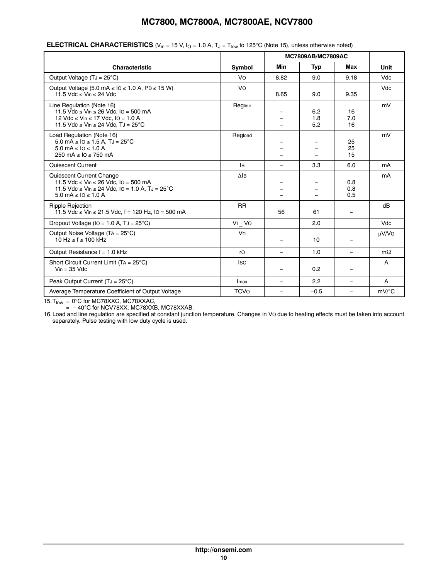|                                                                                                                                                                             |                | <b>MC7809AB/MC7809AC</b> |                   |                          |                     |
|-----------------------------------------------------------------------------------------------------------------------------------------------------------------------------|----------------|--------------------------|-------------------|--------------------------|---------------------|
| <b>Characteristic</b>                                                                                                                                                       | Symbol         | Min                      | Typ               | Max                      | Unit                |
| Output Voltage $(TJ = 25^{\circ}C)$                                                                                                                                         | Vo             | 8.82                     | 9.0               | 9.18                     | <b>Vdc</b>          |
| Output Voltage (5.0 mA $\leq$ 10 $\leq$ 1.0 A, PD $\leq$ 15 W)<br>11.5 Vdc $\leq$ Vin $\leq$ 24 Vdc                                                                         | Vo             | 8.65                     | 9.0               | 9.35                     | <b>Vdc</b>          |
| Line Regulation (Note 16)<br>11.5 Vdc ≤ Vin ≤ 26 Vdc, IO = 500 mA<br>12 Vdc ≤ Vin ≤ 17 Vdc, IO = 1.0 A<br>11.5 Vdc $\leq$ Vin $\leq$ 24 Vdc, TJ = 25°C                      | Regline        |                          | 6.2<br>1.8<br>5.2 | 16<br>7.0<br>16          | mV                  |
| Load Regulation (Note 16)<br>$5.0 \text{ mA} \leq 10 \leq 1.5 \text{ A}$ , TJ = 25°C<br>$5.0 \text{ mA} \leq 10 \leq 1.0 \text{ A}$<br>250 mA $\leq$ 10 $\leq$ 750 mA       | Regload        |                          |                   | 25<br>25<br>15           | mV                  |
| Quiescent Current                                                                                                                                                           | lB.            | Ξ.                       | 3.3               | 6.0                      | mA                  |
| Quiescent Current Change<br>11.5 Vdc ≤ Vin ≤ 26 Vdc, IO = 500 mA<br>11.5 Vdc ≤ Vin ≤ 24 Vdc, IO = 1.0 A, TJ = $25^{\circ}$ C<br>$5.0 \text{ mA} \leq 10 \leq 1.0 \text{ A}$ | $\triangle$ IB |                          |                   | 0.8<br>0.8<br>0.5        | mA                  |
| <b>Ripple Rejection</b><br>11.5 Vdc ≤ Vin ≤ 21.5 Vdc, f = 120 Hz, lO = 500 mA                                                                                               | <b>RR</b>      | 56                       | 61                |                          | dB                  |
| Dropout Voltage (IO = 1.0 A, TJ = 25°C)                                                                                                                                     | VI VO          |                          | 2.0               |                          | Vdc                 |
| Output Noise Voltage (TA = 25°C)<br>$10 \text{ Hz} \leq f \leq 100 \text{ kHz}$                                                                                             | Vn             |                          | 10                |                          | µV/VO               |
| Output Resistance $f = 1.0$ kHz                                                                                                                                             | ro             | -                        | 1.0               | $\overline{\phantom{m}}$ | $m\Omega$           |
| Short Circuit Current Limit (TA = $25^{\circ}$ C)<br>$V_{in} = 35$ Vdc                                                                                                      | <b>ISC</b>     | $\qquad \qquad -$        | 0.2               |                          | A                   |
| Peak Output Current $(TJ = 25^{\circ}C)$                                                                                                                                    | Imax           | Ξ.                       | 2.2               | $\equiv$                 | A                   |
| Average Temperature Coefficient of Output Voltage                                                                                                                           | <b>TCVo</b>    | Ξ.                       | $-0.5$            |                          | $mV$ <sup>o</sup> C |

#### **ELECTRICAL CHARACTERISTICS** ( $V_{in}$  = 15 V,  $I_{O}$  = 1.0 A,  $T_{J}$  =  $T_{low}$  to 125°C (Note 15), unless otherwise noted)

15. $T_{\text{low}}$  = 0°C for MC78XXC, MC78XXAC,

 $= -40^{\circ}$ C for NCV78XX, MC78XXB, MC78XXAB.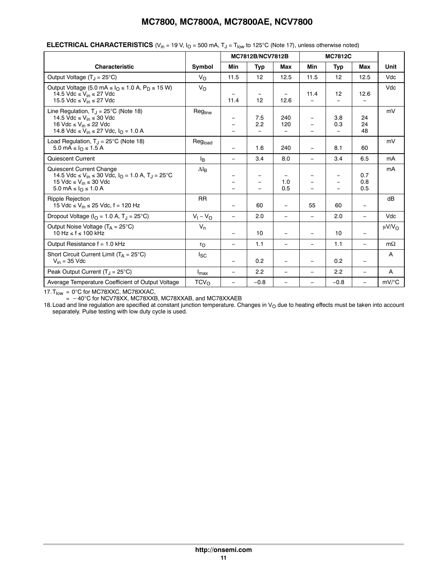|                                                                                                                                                                                                                |                    |                                      | MC7812B/NCV7812B               |                                  |                          | <b>MC7812C</b>   |                           |                    |
|----------------------------------------------------------------------------------------------------------------------------------------------------------------------------------------------------------------|--------------------|--------------------------------------|--------------------------------|----------------------------------|--------------------------|------------------|---------------------------|--------------------|
| <b>Characteristic</b>                                                                                                                                                                                          | Symbol             | Min                                  | <b>Typ</b>                     | <b>Max</b>                       | Min                      | Typ              | <b>Max</b>                | Unit               |
| Output Voltage $(T_1 = 25^{\circ}C)$                                                                                                                                                                           | $V_{\Omega}$       | 11.5                                 | 12                             | 12.5                             | 11.5                     | 12               | 12.5                      | Vdc                |
| Output Voltage (5.0 mA $\leq$ I <sub>O</sub> $\leq$ 1.0 A, P <sub>D</sub> $\leq$ 15 W)<br>14.5 Vdc $\leq$ V <sub>in</sub> $\leq$ 27 Vdc<br>15.5 Vdc $\leq$ V <sub>in</sub> $\leq$ 27 Vdc                       | $V_{\Omega}$       | $\qquad \qquad \blacksquare$<br>11.4 | $\overline{\phantom{m}}$<br>12 | $\overline{\phantom{m}}$<br>12.6 | 11.4                     | 12<br>-          | 12.6<br>$\qquad \qquad -$ | Vdc                |
| Line Regulation, $T_1 = 25^{\circ}$ C (Note 18)<br>14.5 Vdc $\leq$ V <sub>in</sub> $\leq$ 30 Vdc<br>16 Vdc $\leq$ V <sub>in</sub> $\leq$ 22 Vdc<br>14.8 Vdc ≤ V <sub>in</sub> ≤ 27 Vdc, I <sub>O</sub> = 1.0 A | Regline            | $\qquad \qquad -$                    | 7.5<br>2.2                     | 240<br>120                       | $\qquad \qquad -$        | 3.8<br>0.3<br>L. | 24<br>24<br>48            | mV                 |
| Load Regulation, $T_J = 25^{\circ}C$ (Note 18)<br>5.0 mA ≤ $I0$ ≤ 1.5 A                                                                                                                                        | Regload            | $\qquad \qquad -$                    | 1.6                            | 240                              | $\overline{\phantom{0}}$ | 8.1              | 60                        | mV                 |
| Quiescent Current                                                                                                                                                                                              | l <sub>R</sub>     | $\equiv$                             | 3.4                            | 8.0                              | $\equiv$                 | 3.4              | 6.5                       | mA                 |
| Quiescent Current Change<br>14.5 Vdc ≤ V <sub>in</sub> ≤ 30 Vdc, I <sub>O</sub> = 1.0 A, T <sub>J</sub> = 25°C<br>15 Vdc $\leq$ V <sub>in</sub> $\leq$ 30 Vdc<br>5.0 mA ≤ $IΩ$ ≤ 1.0 A                         | $\Delta I_R$       | -                                    |                                | 1.0<br>0.5                       |                          | $\equiv$         | 0.7<br>0.8<br>0.5         | mA                 |
| <b>Ripple Rejection</b><br>15 Vdc ≤ V <sub>in</sub> ≤ 25 Vdc, f = 120 Hz                                                                                                                                       | <b>RR</b>          | $\qquad \qquad =$                    | 60                             | $\overline{\phantom{m}}$         | 55                       | 60               | $\overline{\phantom{a}}$  | dB                 |
| Dropout Voltage ( $IO = 1.0$ A, $TJ = 25$ °C)                                                                                                                                                                  | $V_1 - V_{\Omega}$ | L.                                   | 2.0                            | $\qquad \qquad -$                | $\equiv$                 | 2.0              | $\overline{\phantom{0}}$  | Vdc                |
| Output Noise Voltage $(T_A = 25^{\circ}C)$<br>10 Hz $\le$ f $\le$ 100 kHz                                                                                                                                      | $V_n$              | $\equiv$                             | 10                             | $\qquad \qquad -$                | $\equiv$                 | 10               | $\qquad \qquad -$         | $\mu V/V_{\Omega}$ |
| Output Resistance f = 1.0 kHz                                                                                                                                                                                  | $r_{\Omega}$       | $\overline{\phantom{0}}$             | 1.1                            | $\overline{\phantom{m}}$         |                          | 1.1              | $\overline{\phantom{0}}$  | $m\Omega$          |
| Short Circuit Current Limit ( $T_A = 25^{\circ}C$ )<br>$V_{in}$ = 35 Vdc                                                                                                                                       | l <sub>SC</sub>    |                                      | 0.2                            | $\overline{\phantom{m}}$         | $\qquad \qquad =$        | 0.2              | $\overline{\phantom{a}}$  | A                  |
| Peak Output Current $(T_1 = 25^{\circ}C)$                                                                                                                                                                      | $I_{\text{max}}$   | $\equiv$                             | 2.2                            | $\qquad \qquad -$                | $\qquad \qquad -$        | 2.2              | $\equiv$                  | A                  |
| Average Temperature Coefficient of Output Voltage                                                                                                                                                              | TCV <sub>O</sub>   | $\overline{\phantom{0}}$             | $-0.8$                         |                                  | $\qquad \qquad -$        | $-0.8$           | $\equiv$                  | $mV$ /°C           |

#### **ELECTRICAL CHARACTERISTICS**  $(V_{in} = 19 V, I_{O} = 500$  mA,  $T_{J} = T_{low}$  to 125°C (Note 17), unless otherwise noted)

 $17. T_{\text{low}} = 0^{\circ}$ C for MC78XXC, MC78XXAC,

=  $-40^{\circ}$ C for NCV78XX, MC78XXB, MC78XXAB, and MC78XXAEB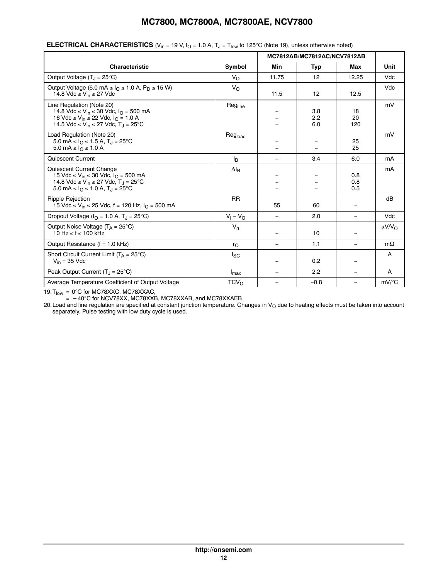|                                                                                                                                                                                                                    |                    |                          | MC7812AB/MC7812AC/NCV7812AB |                          |                        |
|--------------------------------------------------------------------------------------------------------------------------------------------------------------------------------------------------------------------|--------------------|--------------------------|-----------------------------|--------------------------|------------------------|
| <b>Characteristic</b>                                                                                                                                                                                              | Symbol             | <b>Min</b>               | Typ                         | Max                      | Unit                   |
| Output Voltage $(T_1 = 25^{\circ}C)$                                                                                                                                                                               | $V_{\Omega}$       | 11.75                    | 12                          | 12.25                    | Vdc                    |
| Output Voltage (5.0 mA $\leq$ $I0$ $\leq$ 1.0 A, P <sub>D</sub> $\leq$ 15 W)<br>14.8 Vdc $\leq$ V <sub>in</sub> $\leq$ 27 Vdc                                                                                      | $V_{\rm O}$        | 11.5                     | 12                          | 12.5                     | Vdc                    |
| Line Regulation (Note 20)<br>14.8 Vdc ≤ V <sub>in</sub> ≤ 30 Vdc, $I_{\Omega}$ = 500 mA<br>16 Vdc ≤ V <sub>in</sub> ≤ 22 Vdc, I <sub>O</sub> = 1.0 A<br>14.5 Vdc ≤ V <sub>in</sub> ≤ 27 Vdc, T <sub>J</sub> = 25°C | Regline            |                          | 3.8<br>2.2<br>6.0           | 18<br>20<br>120          | mV                     |
| Load Regulation (Note 20)<br>5.0 mA ≤ $IQ$ ≤ 1.5 A, T <sub>J</sub> = 25°C<br>5.0 mA ≤ $IO$ ≤ 1.0 A                                                                                                                 | Regload            |                          |                             | 25<br>25                 | mV                     |
| <b>Quiescent Current</b>                                                                                                                                                                                           | l <sub>B</sub>     | $\overline{\phantom{0}}$ | 3.4                         | 6.0                      | mA                     |
| Quiescent Current Change<br>15 Vdc ≤ V <sub>in</sub> ≤ 30 Vdc, I <sub>O</sub> = 500 mA<br>14.8 Vdc ≤ V <sub>in</sub> ≤ 27 Vdc, T <sub>J</sub> = 25°C<br>5.0 mA ≤ l <sub>O</sub> ≤ 1.0 A, T <sub>J</sub> = 25°C     | $\Delta I_B$       |                          |                             | 0.8<br>0.8<br>0.5        | mA                     |
| <b>Ripple Rejection</b><br>15 Vdc ≤ V <sub>in</sub> ≤ 25 Vdc, f = 120 Hz, $IO$ = 500 mA                                                                                                                            | <b>RR</b>          | 55                       | 60                          | $\overline{\phantom{m}}$ | dB                     |
| Dropout Voltage ( $IO = 1.0$ A, $TJ = 25$ °C)                                                                                                                                                                      | $V_1 - V_{\Omega}$ | -                        | 2.0                         | $\qquad \qquad -$        | Vdc                    |
| Output Noise Voltage $(T_A = 25^{\circ}C)$<br>10 Hz $\le$ f $\le$ 100 kHz                                                                                                                                          | $V_n$              | -                        | 10                          |                          | $\mu$ V/V <sub>O</sub> |
| Output Resistance $(f = 1.0$ kHz)                                                                                                                                                                                  | $r_{\rm O}$        | $\overline{\phantom{0}}$ | 1.1                         | $\qquad \qquad -$        | $m\Omega$              |
| Short Circuit Current Limit $(T_A = 25^{\circ}C)$<br>$V_{in}$ = 35 Vdc                                                                                                                                             | l <sub>SC</sub>    | $\overline{\phantom{0}}$ | 0.2                         | $\qquad \qquad -$        | A                      |
| Peak Output Current $(T_1 = 25^{\circ}C)$                                                                                                                                                                          | $I_{\text{max}}$   |                          | 2.2                         | $\overline{\phantom{m}}$ | A                      |
| Average Temperature Coefficient of Output Voltage                                                                                                                                                                  | TCV <sub>O</sub>   | $\overline{\phantom{0}}$ | $-0.8$                      | $\qquad \qquad -$        | $mV$ <sup>o</sup> C    |

#### **ELECTRICAL CHARACTERISTICS** ( $V_{in}$  = 19 V,  $I_{O}$  = 1.0 A,  $T_{J}$  =  $T_{low}$  to 125°C (Note 19), unless otherwise noted)

19. $T_{\text{low}} = 0^{\circ}$ C for MC78XXC, MC78XXAC,

=  $-40^{\circ}$ C for NCV78XX, MC78XXB, MC78XXAB, and MC78XXAEB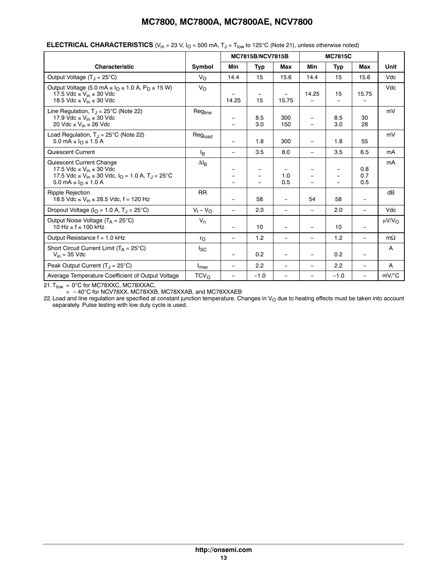|                                                                                                                                                                                                    |                  |                               | MC7815B/NCV7815B |                          |                                               | <b>MC7815C</b>                       |                          |                    |
|----------------------------------------------------------------------------------------------------------------------------------------------------------------------------------------------------|------------------|-------------------------------|------------------|--------------------------|-----------------------------------------------|--------------------------------------|--------------------------|--------------------|
|                                                                                                                                                                                                    |                  |                               |                  |                          |                                               |                                      |                          |                    |
| <b>Characteristic</b>                                                                                                                                                                              | Symbol           | Min                           | <b>Typ</b>       | <b>Max</b>               | Min                                           | <b>Typ</b>                           | <b>Max</b>               | Unit               |
| Output Voltage $(T_1 = 25^{\circ}C)$                                                                                                                                                               | $V_{\Omega}$     | 14.4                          | 15               | 15.6                     | 14.4                                          | 15                                   | 15.6                     | Vdc                |
| Output Voltage (5.0 mA $\leq$ $I0$ $\leq$ 1.0 A, P <sub>D</sub> $\leq$ 15 W)<br>17.5 Vdc $\leq$ V <sub>in</sub> $\leq$ 30 Vdc<br>18.5 Vdc $\leq$ V <sub>in</sub> $\leq$ 30 Vdc                     | $V_{O}$          | 14.25                         | 15               | 15.75                    | 14.25                                         | 15                                   | 15.75                    | Vdc                |
| Line Regulation, $T_1 = 25^{\circ}$ C (Note 22)<br>17.9 Vdc $\leq$ V <sub>in</sub> $\leq$ 30 Vdc<br>20 Vdc ≤ V <sub>in</sub> ≤ 26 Vdc                                                              | Regline          | $\qquad \qquad -$<br>$\equiv$ | 8.5<br>3.0       | 300<br>150               | $\qquad \qquad =$<br>$\overline{\phantom{0}}$ | 8.5<br>3.0                           | 30<br>28                 | mV                 |
| Load Regulation, $T_{J}$ = 25°C (Note 22)<br>5.0 mA $\leq$ $I0 \leq$ 1.5 A                                                                                                                         | Regload          |                               | 1.8              | 300                      | $\qquad \qquad =$                             | 1.8                                  | 55                       | mV                 |
| Quiescent Current                                                                                                                                                                                  | l <sub>R</sub>   | $\overline{\phantom{0}}$      | 3.5              | 8.0                      | $\overline{\phantom{0}}$                      | 3.5                                  | 6.5                      | mA                 |
| Quiescent Current Change<br>17.5 Vdc $\leq$ V <sub>in</sub> $\leq$ 30 Vdc<br>17.5 Vdc ≤ V <sub>in</sub> ≤ 30 Vdc, I <sub>O</sub> = 1.0 A, T <sub>J</sub> = 25°C<br>5.0 mA $\leq$ $IQ$ $\leq$ 1.0 A | $\Delta I_B$     |                               |                  | 1.0<br>0.5               |                                               | $\equiv$<br>$\overline{\phantom{0}}$ | 0.8<br>0.7<br>0.5        | mA                 |
| <b>Ripple Rejection</b><br>18.5 Vdc ≤ V <sub>in</sub> ≤ 28.5 Vdc, f = 120 Hz                                                                                                                       | <b>RR</b>        | $\overline{\phantom{0}}$      | 58               | $\overline{\phantom{m}}$ | 54                                            | 58                                   | $\overline{\phantom{m}}$ | dB                 |
| Dropout Voltage ( $IO = 1.0$ A, $TJ = 25$ °C)                                                                                                                                                      | $V_1 - V_0$      | $\equiv$                      | 2.0              | $\qquad \qquad -$        | $\qquad \qquad -$                             | 2.0                                  | $\overline{\phantom{0}}$ | Vdc                |
| Output Noise Voltage $(T_A = 25^{\circ}C)$<br>$10 \text{ Hz} \leq f \leq 100 \text{ kHz}$                                                                                                          | $V_n$            | $\overline{\phantom{0}}$      | 10               | $\qquad \qquad -$        | $\qquad \qquad -$                             | 10                                   | $\overline{\phantom{m}}$ | $\mu V/V_{\Omega}$ |
| Output Resistance $f = 1.0$ kHz                                                                                                                                                                    | $r_{\Omega}$     | $\overline{\phantom{0}}$      | 1.2              | $\overline{\phantom{m}}$ | $\qquad \qquad =$                             | 1.2                                  | $\overline{\phantom{0}}$ | $m\Omega$          |
| Short Circuit Current Limit ( $T_A = 25^{\circ}C$ )<br>$V_{in}$ = 35 Vdc                                                                                                                           | <sub>sc</sub>    | $\overline{\phantom{0}}$      | 0.2              | $\overline{\phantom{m}}$ | $\overline{\phantom{0}}$                      | 0.2                                  | $\qquad \qquad -$        | A                  |
| Peak Output Current $(T_1 = 25^{\circ}C)$                                                                                                                                                          | $I_{\text{max}}$ | $\overline{\phantom{0}}$      | 2.2              | $\overline{\phantom{m}}$ | $\qquad \qquad =$                             | 2.2                                  | $\overline{\phantom{m}}$ | A                  |
| Average Temperature Coefficient of Output Voltage                                                                                                                                                  | TCV <sub>O</sub> | $\overline{\phantom{0}}$      | $-1.0$           |                          | $\qquad \qquad =$                             | $-1.0$                               | $\equiv$                 | $mV$ /°C           |

#### **ELECTRICAL CHARACTERISTICS** (V<sub>in</sub> = 23 V,  $I<sub>O</sub>$  = 500 mA,  $T<sub>J</sub>$  = T<sub>low</sub> to 125°C (Note 21), unless otherwise noted)

21.T<sub>low</sub> = 0°C for MC78XXC, MC78XXAC,

 $=$   $-40^{\circ}$ C for NCV78XX, MC78XXB, MC78XXAB, and MC78XXAEB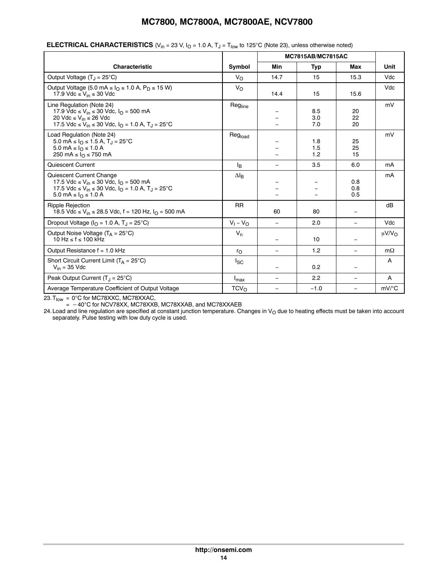|                                                                                                                                                                                                                       |                     |                          | <b>MC7815AB/MC7815AC</b> |                          |                        |
|-----------------------------------------------------------------------------------------------------------------------------------------------------------------------------------------------------------------------|---------------------|--------------------------|--------------------------|--------------------------|------------------------|
| Characteristic                                                                                                                                                                                                        | Symbol              | Min                      | <b>Typ</b>               | <b>Max</b>               | Unit                   |
| Output Voltage $(T_1 = 25^{\circ}C)$                                                                                                                                                                                  | $V_{\rm O}$         | 14.7                     | 15                       | 15.3                     | Vdc                    |
| Output Voltage (5.0 mA $\leq$ I <sub>O</sub> $\leq$ 1.0 A, P <sub>D</sub> $\leq$ 15 W)<br>17.9 Vdc $\leq$ V <sub>in</sub> $\leq$ 30 Vdc                                                                               | $V_{\rm O}$         | 14.4                     | 15                       | 15.6                     | Vdc                    |
| Line Regulation (Note 24)<br>17.9 Vdc ≤ V <sub>in</sub> ≤ 30 Vdc, I <sub>O</sub> = 500 mA<br>20 Vdc ≤ V <sub>in</sub> ≤ 26 Vdc<br>17.5 Vdc ≤ V <sub>in</sub> ≤ 30 Vdc, I <sub>O</sub> = 1.0 A, T <sub>J</sub> = 25 °C | Regline             |                          | 8.5<br>3.0<br>7.0        | 20<br>22<br>20           | mV                     |
| Load Regulation (Note 24)<br>5.0 mA $\leq$ $I_{\text{O}} \leq 1.5$ A, T <sub>J</sub> = 25 <sup>°</sup> C<br>5.0 mA ≤ $I_0$ ≤ 1.0 A<br>250 mA $\leq$ $IQ \leq$ 750 mA                                                  | Reg <sub>load</sub> |                          | 1.8<br>1.5<br>1.2        | 25<br>25<br>15           | mV                     |
| <b>Quiescent Current</b>                                                                                                                                                                                              | l <sub>B</sub>      | -                        | 3.5                      | 6.0                      | mA                     |
| Quiescent Current Change<br>17.5 Vdc ≤ V <sub>in</sub> ≤ 30 Vdc, I <sub>O</sub> = 500 mA<br>17.5 Vdc ≤ V <sub>in</sub> ≤ 30 Vdc, I <sub>O</sub> = 1.0 A, T <sub>J</sub> = 25 <sup>°</sup> C<br>5.0 mA ≤ $IΩ$ ≤ 1.0 A  | $\Delta I_B$        |                          |                          | 0.8<br>0.8<br>0.5        | mA                     |
| <b>Ripple Rejection</b><br>18.5 Vdc ≤ V <sub>in</sub> ≤ 28.5 Vdc, f = 120 Hz, $I_{\Omega}$ = 500 mA                                                                                                                   | <b>RR</b>           | 60                       | 80                       | $\overline{\phantom{0}}$ | dB                     |
| Dropout Voltage ( $IO = 1.0$ A, $TJ = 25$ °C)                                                                                                                                                                         | $V_1 - V_0$         | $\overline{\phantom{m}}$ | 2.0                      | $\overline{\phantom{0}}$ | Vdc                    |
| Output Noise Voltage $(T_A = 25^{\circ}C)$<br>$10$ Hz $\le$ f $\le$ 100 kHz                                                                                                                                           | $V_n$               | $\overline{\phantom{0}}$ | 10                       | $\overline{\phantom{0}}$ | $\mu$ V/V <sub>O</sub> |
| Output Resistance $f = 1.0$ kHz                                                                                                                                                                                       | ro                  | $\overline{\phantom{m}}$ | 1.2                      | $\equiv$                 | $m\Omega$              |
| Short Circuit Current Limit ( $T_A = 25^{\circ}C$ )<br>$V_{in}$ = 35 Vdc                                                                                                                                              | <sub>sc</sub>       | $\qquad \qquad -$        | 0.2                      | $\overline{\phantom{0}}$ | A                      |
| Peak Output Current $(T_1 = 25^{\circ}C)$                                                                                                                                                                             | $I_{\text{max}}$    | $\qquad \qquad -$        | 2.2                      | $\overline{\phantom{m}}$ | Α                      |
| Average Temperature Coefficient of Output Voltage                                                                                                                                                                     | TCV <sub>O</sub>    | $\overline{\phantom{m}}$ | $-1.0$                   | $\overline{\phantom{0}}$ | mV/°C                  |

#### **ELECTRICAL CHARACTERISTICS** (V<sub>in</sub> = 23 V, I<sub>O</sub> = 1.0 A, T<sub>J</sub> = T<sub>low</sub> to 125°C (Note 23), unless otherwise noted)

23.T<sub>low</sub> = 0°C for MC78XXC, MC78XXAC,

 $=$   $-40^{\circ}$ C for NCV78XX, MC78XXB, MC78XXAB, and MC78XXAEB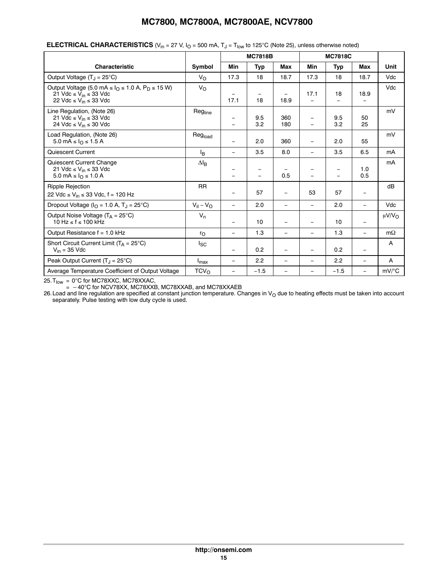|                                                                                                                                                                |                  | <b>MC7818B</b>    |            |                          | <b>MC7818C</b>           |                                      |                          |                        |
|----------------------------------------------------------------------------------------------------------------------------------------------------------------|------------------|-------------------|------------|--------------------------|--------------------------|--------------------------------------|--------------------------|------------------------|
| <b>Characteristic</b>                                                                                                                                          | Symbol           | Min               | Typ        | Max                      | Min                      | Typ                                  | Max                      | Unit                   |
| Output Voltage $(T_J = 25^{\circ}C)$                                                                                                                           | $V_{\rm O}$      | 17.3              | 18         | 18.7                     | 17.3                     | 18                                   | 18.7                     | Vdc                    |
| Output Voltage (5.0 mA $\leq$ $I_O \leq 1.0$ A, $P_D \leq 15$ W)<br>21 Vdc $\leq$ V <sub>in</sub> $\leq$ 33 Vdc<br>22 Vdc $\leq$ V <sub>in</sub> $\leq$ 33 Vdc | $V_{\rm O}$      | 17.1              | 18         | 18.9                     | 17.1                     | 18                                   | 18.9                     | Vdc                    |
| Line Regulation, (Note 26)<br>21 Vdc $\leq$ V <sub>in</sub> $\leq$ 33 Vdc<br>24 Vdc $\leq$ V <sub>in</sub> $\leq$ 30 Vdc                                       | Regline          | -<br>$=$          | 9.5<br>3.2 | 360<br>180               |                          | 9.5<br>3.2                           | 50<br>25                 | mV                     |
| Load Regulation, (Note 26)<br>5.0 mA $\leq$ $I_{\Omega} \leq 1.5$ A                                                                                            | Regload          | $\qquad \qquad =$ | 2.0        | 360                      |                          | 2.0                                  | 55                       | mV                     |
| <b>Quiescent Current</b>                                                                                                                                       | l <sub>B</sub>   | $\qquad \qquad -$ | 3.5        | 8.0                      | $\overline{\phantom{m}}$ | 3.5                                  | 6.5                      | mA                     |
| Quiescent Current Change<br>21 Vdc $\leq$ V <sub>in</sub> $\leq$ 33 Vdc<br>5.0 mA ≤ $I_0$ ≤ 1.0 A                                                              | $\Delta I_B$     | -<br>$=$          | $=$        | 0.5                      | $\equiv$                 | $\overline{\phantom{0}}$<br>$\equiv$ | 1.0<br>0.5               | mA                     |
| <b>Ripple Rejection</b><br>22 Vdc ≤ V <sub>in</sub> ≤ 33 Vdc, f = 120 Hz                                                                                       | <b>RR</b>        | $\qquad \qquad =$ | 57         | $\overline{\phantom{m}}$ | 53                       | 57                                   | $\qquad \qquad$          | dB                     |
| Dropout Voltage ( $IO = 1.0$ A, $TJ = 25$ °C)                                                                                                                  | $V_{il} - V_{O}$ | L.                | 2.0        | $\overline{\phantom{0}}$ | $\equiv$                 | 2.0                                  | $\equiv$                 | Vdc                    |
| Output Noise Voltage $(T_A = 25^{\circ}C)$<br>$10 \text{ Hz} \leq f \leq 100 \text{ kHz}$                                                                      | $V_n$            | $\equiv$          | 10         | -                        |                          | 10                                   | $\overline{\phantom{0}}$ | $\mu$ V/V <sub>O</sub> |
| Output Resistance $f = 1.0$ kHz                                                                                                                                | $r_{\rm O}$      | $\qquad \qquad -$ | 1.3        | $\overline{\phantom{0}}$ | $\overline{\phantom{m}}$ | 1.3                                  | $\overline{\phantom{0}}$ | $m\Omega$              |
| Short Circuit Current Limit $(T_A = 25^{\circ}C)$<br>$V_{in}$ = 35 Vdc                                                                                         | l <sub>SC</sub>  | $\qquad \qquad =$ | 0.2        | $\overline{\phantom{0}}$ |                          | 0.2                                  | $\qquad \qquad$          | $\mathsf{A}$           |
| Peak Output Current $(T_1 = 25^{\circ}C)$                                                                                                                      | $I_{\text{max}}$ | $\qquad \qquad -$ | 2.2        | $\overline{\phantom{0}}$ | $\overline{\phantom{m}}$ | 2.2                                  | $\overline{\phantom{m}}$ | A                      |
| Average Temperature Coefficient of Output Voltage                                                                                                              | TCV <sub>O</sub> | $\qquad \qquad =$ | $-1.5$     | $\overline{\phantom{0}}$ | $\overline{\phantom{m}}$ | $-1.5$                               | $\overline{\phantom{0}}$ | mV/°C                  |

#### **ELECTRICAL CHARACTERISTICS** ( $V_{in}$  = 27 V,  $I_0$  = 500 mA,  $T_J$  =  $T_{low}$  to 125°C (Note 25), unless otherwise noted)

25.T<sub>low</sub> = 0°C for MC78XXC, MC78XXAC,

 $=$   $-40^{\circ}$ C for NCV78XX, MC78XXB, MC78XXAB, and MC78XXAEB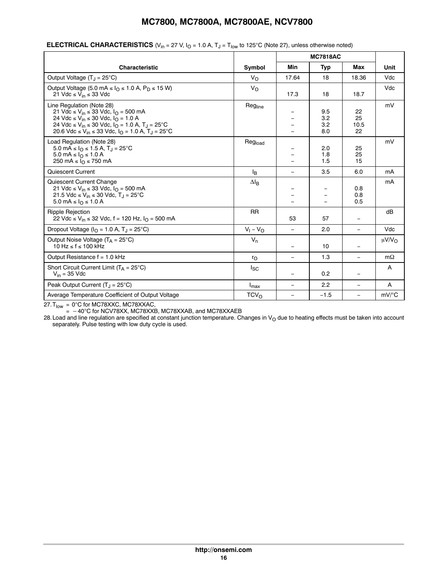|                                                                                                                                                                                                                                                                                                                                              |                  |            | <b>MC7818AC</b>          |                          |                      |
|----------------------------------------------------------------------------------------------------------------------------------------------------------------------------------------------------------------------------------------------------------------------------------------------------------------------------------------------|------------------|------------|--------------------------|--------------------------|----------------------|
| <b>Characteristic</b>                                                                                                                                                                                                                                                                                                                        | Symbol           | <b>Min</b> | Typ                      | Max                      | Unit                 |
| Output Voltage $(T_1 = 25^{\circ}C)$                                                                                                                                                                                                                                                                                                         | $V_{\Omega}$     | 17.64      | 18                       | 18.36                    | Vdc                  |
| Output Voltage (5.0 mA $\leq$ $I_{\Omega}$ $\leq$ 1.0 A, P <sub>D</sub> $\leq$ 15 W)<br>21 Vdc $\leq$ V <sub>in</sub> $\leq$ 33 Vdc                                                                                                                                                                                                          | $V_{\Omega}$     | 17.3       | 18                       | 18.7                     | Vdc                  |
| Line Regulation (Note 28)<br>21 Vdc ≤ V <sub>in</sub> ≤ 33 Vdc, I <sub>O</sub> = 500 mA<br>24 Vdc ≤ V <sub>in</sub> ≤ 30 Vdc, I <sub>O</sub> = 1.0 A<br>24 Vdc ≤ V <sub>in</sub> ≤ 30 Vdc, I <sub>O</sub> = 1.0 A, T <sub>J</sub> = 25 °C<br>20.6 Vdc ≤ V <sub>in</sub> ≤ 33 Vdc, I <sub>O</sub> = 1.0 A, T <sub>J</sub> = 25 <sup>°</sup> C | Regline          |            | 9.5<br>3.2<br>3.2<br>8.0 | 22<br>25<br>10.5<br>22   | mV                   |
| Load Regulation (Note 28)<br>5.0 mA ≤ $IQ$ ≤ 1.5 A, T <sub>J</sub> = 25°C<br>5.0 mA ≤ $I_0$ ≤ 1.0 A<br>250 mA $\leq$ $I0 \leq$ 750 mA                                                                                                                                                                                                        | Regload          |            | 2.0<br>1.8<br>1.5        | 25<br>25<br>15           | mV                   |
| Quiescent Current                                                                                                                                                                                                                                                                                                                            | <sup>I</sup> B   | $\equiv$   | 3.5                      | 6.0                      | mA                   |
| Quiescent Current Change<br>21 Vdc ≤ V <sub>in</sub> ≤ 33 Vdc, I <sub>O</sub> = 500 mA<br>21.5 Vdc ≤ V <sub>in</sub> ≤ 30 Vdc, T <sub>J</sub> = 25°C<br>5.0 mA ≤ $I_0$ ≤ 1.0 A                                                                                                                                                               | $\Delta I_B$     |            |                          | 0.8<br>0.8<br>0.5        | mA                   |
| <b>Ripple Rejection</b><br>22 Vdc ≤ V <sub>in</sub> ≤ 32 Vdc, f = 120 Hz, $I0$ = 500 mA                                                                                                                                                                                                                                                      | <b>RR</b>        | 53         | 57                       | $\overline{\phantom{m}}$ | dB                   |
| Dropout Voltage ( $I_{\Omega}$ = 1.0 A, T <sub>.1</sub> = 25°C)                                                                                                                                                                                                                                                                              | $V_1 - V_0$      |            | 2.0                      | $\equiv$                 | Vdc                  |
| Output Noise Voltage $(T_A = 25^{\circ}C)$<br>$10 \text{ Hz} \leq f \leq 100 \text{ kHz}$                                                                                                                                                                                                                                                    | $V_n$            |            | 10                       | $\overline{\phantom{m}}$ | μ $V/V$ <sub>Ω</sub> |
| Output Resistance f = 1.0 kHz                                                                                                                                                                                                                                                                                                                | $r_{\rm O}$      | $\equiv$   | 1.3                      | $\equiv$                 | $m\Omega$            |
| Short Circuit Current Limit ( $T_A = 25^{\circ}C$ )<br>$V_{in}$ = 35 Vdc                                                                                                                                                                                                                                                                     | $I_{SC}$         |            | 0.2                      |                          | A                    |
| Peak Output Current $(T_1 = 25^{\circ}C)$                                                                                                                                                                                                                                                                                                    | $I_{\text{max}}$ |            | 2.2                      | $\overline{\phantom{m}}$ | A                    |
| Average Temperature Coefficient of Output Voltage                                                                                                                                                                                                                                                                                            | TCV <sub>O</sub> |            | $-1.5$                   | $\equiv$                 | $mV$ <sup>o</sup> C  |

#### **ELECTRICAL CHARACTERISTICS** ( $V_{in}$  = 27 V,  $I_{O}$  = 1.0 A,  $T_{J}$  =  $T_{low}$  to 125°C (Note 27), unless otherwise noted)

27.T<sub>low</sub> = 0°C for MC78XXC, MC78XXAC,

 $=$   $-40^{\circ}$ C for NCV78XX, MC78XXB, MC78XXAB, and MC78XXAEB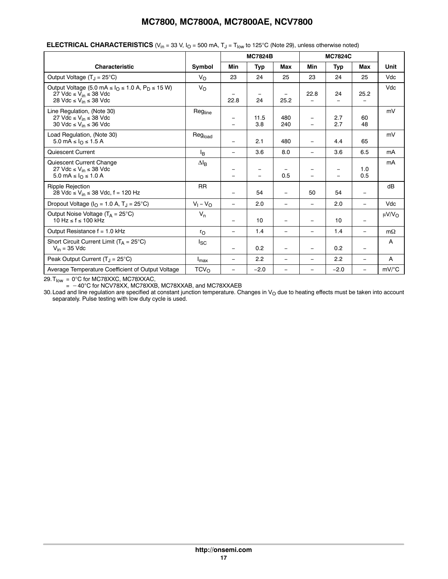|                                                                                                                                                                |                  | <b>MC7824B</b>           |             | <b>MC7824C</b>           |                                      |                          |                          |                    |
|----------------------------------------------------------------------------------------------------------------------------------------------------------------|------------------|--------------------------|-------------|--------------------------|--------------------------------------|--------------------------|--------------------------|--------------------|
| <b>Characteristic</b>                                                                                                                                          | Symbol           | Min                      | Typ         | <b>Max</b>               | Min                                  | Typ                      | <b>Max</b>               | <b>Unit</b>        |
| Output Voltage $(T_1 = 25^{\circ}C)$                                                                                                                           | $V_{\rm O}$      | 23                       | 24          | 25                       | 23                                   | 24                       | 25                       | Vdc                |
| Output Voltage (5.0 mA $\leq$ $I_O \leq 1.0$ A, $P_D \leq 15$ W)<br>27 Vdc $\leq$ V <sub>in</sub> $\leq$ 38 Vdc<br>28 Vdc $\leq$ V <sub>in</sub> $\leq$ 38 Vdc | $V_{\Omega}$     | 22.8                     | 24          | -<br>25.2                | 22.8                                 | 24                       | 25.2                     | Vdc                |
| Line Regulation, (Note 30)<br>27 Vdc ≤ V <sub>in</sub> ≤ 38 Vdc<br>30 Vdc ≤ V <sub>in</sub> ≤ 36 Vdc                                                           | Regline          | -<br>$\equiv$            | 11.5<br>3.8 | 480<br>240               | $\equiv$<br>$\overline{\phantom{0}}$ | 2.7<br>2.7               | 60<br>48                 | mV                 |
| Load Regulation, (Note 30)<br>5.0 mA ≤ $I0$ ≤ 1.5 A                                                                                                            | Regload          | -                        | 2.1         | 480                      | $\qquad \qquad =$                    | 4.4                      | 65                       | mV                 |
| Quiescent Current                                                                                                                                              | l <sub>R</sub>   | -                        | 3.6         | 8.0                      | $\qquad \qquad =$                    | 3.6                      | 6.5                      | mA                 |
| Quiescent Current Change<br>27 Vdc $\leq$ V <sub>in</sub> $\leq$ 38 Vdc<br>5.0 mA ≤ $I_0$ ≤ 1.0 A                                                              | $\Delta I_B$     | -                        |             | 0.5                      |                                      | $\overline{\phantom{0}}$ | 1.0<br>0.5               | mA                 |
| <b>Ripple Rejection</b><br>28 Vdc ≤ V <sub>in</sub> ≤ 38 Vdc, f = 120 Hz                                                                                       | <b>RR</b>        | $\overline{\phantom{0}}$ | 54          | $\overline{\phantom{m}}$ | 50                                   | 54                       | $\overline{\phantom{a}}$ | dB                 |
| Dropout Voltage ( $IO = 1.0$ A, $TJ = 25$ °C)                                                                                                                  | $V_1 - V_O$      | $\overline{\phantom{0}}$ | 2.0         | -                        | $\equiv$                             | 2.0                      | $\qquad \qquad -$        | Vdc                |
| Output Noise Voltage $(T_A = 25^{\circ}C)$<br>10 Hz ≤ f ≤ 100 kHz                                                                                              | $V_n$            | -                        | 10          |                          | $\qquad \qquad -$                    | 10                       | $\overline{\phantom{0}}$ | $\mu V/V_{\Omega}$ |
| Output Resistance $f = 1.0$ kHz                                                                                                                                | $r_{\Omega}$     | $\overline{\phantom{0}}$ | 1.4         | $\overline{\phantom{m}}$ | $\qquad \qquad -$                    | 1.4                      | $\overline{\phantom{0}}$ | $m\Omega$          |
| Short Circuit Current Limit $(T_A = 25^{\circ}C)$<br>$V_{in}$ = 35 Vdc                                                                                         | $I_{SC}$         | $\equiv$                 | 0.2         | $\overline{\phantom{0}}$ | $\overline{\phantom{0}}$             | 0.2                      | $\overline{\phantom{0}}$ | A                  |
| Peak Output Current $(T_1 = 25^{\circ}C)$                                                                                                                      | $I_{\text{max}}$ | -                        | 2.2         | $\overline{\phantom{0}}$ | $\qquad \qquad -$                    | 2.2                      | $\equiv$                 | A                  |
| Average Temperature Coefficient of Output Voltage                                                                                                              | TCV <sub>O</sub> | $\overline{\phantom{0}}$ | $-2.0$      |                          | $\overline{\phantom{0}}$             | $-2.0$                   | $\overline{\phantom{0}}$ | mV/°C              |

#### **ELECTRICAL CHARACTERISTICS** ( $V_{in}$  = 33 V,  $I_0$  = 500 mA,  $T_J$  =  $T_{low}$  to 125°C (Note 29), unless otherwise noted)

29.T<sub>low</sub> = 0°C for MC78XXC, MC78XXAC,

=  $-40^{\circ}$ C for NCV78XX, MC78XXB, MC78XXAB, and MC78XXAEB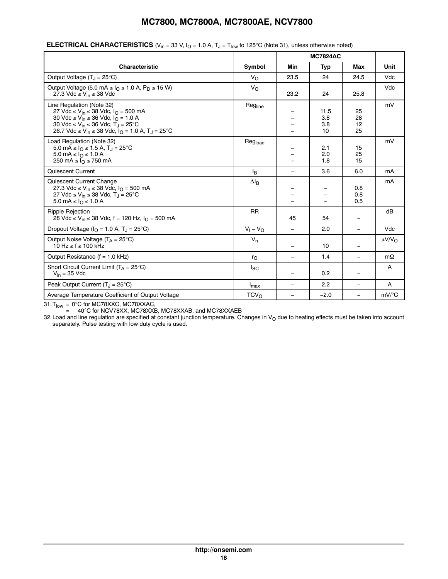|                                                                                                                                                                                                                                                                                                                   |                  |      | <b>MC7824AC</b>          |                          |                        |
|-------------------------------------------------------------------------------------------------------------------------------------------------------------------------------------------------------------------------------------------------------------------------------------------------------------------|------------------|------|--------------------------|--------------------------|------------------------|
| <b>Characteristic</b>                                                                                                                                                                                                                                                                                             | Symbol           | Min  | Typ                      | Max                      | Unit                   |
| Output Voltage $(T_1 = 25^{\circ}C)$                                                                                                                                                                                                                                                                              | $V_{\Omega}$     | 23.5 | 24                       | 24.5                     | Vdc                    |
| Output Voltage (5.0 mA $\leq$ $IO$ $\leq$ 1.0 A, P <sub>D</sub> $\leq$ 15 W)<br>27.3 Vdc $\leq$ V <sub>in</sub> $\leq$ 38 Vdc                                                                                                                                                                                     | $V_{\Omega}$     | 23.2 | 24                       | 25.8                     | Vdc                    |
| Line Regulation (Note 32)<br>27 Vdc ≤ V <sub>in</sub> ≤ 38 Vdc, I <sub>O</sub> = 500 mA<br>30 Vdc ≤ V <sub>in</sub> ≤ 36 Vdc, $I_{\Omega}$ = 1.0 A<br>30 Vdc ≤ V <sub>in</sub> ≤ 36 Vdc, T <sub>J</sub> = 25°C<br>26.7 Vdc ≤ V <sub>in</sub> ≤ 38 Vdc, I <sub>O</sub> = 1.0 A, T <sub>J</sub> = 25 <sup>°</sup> C | Regline          |      | 11.5<br>3.8<br>3.8<br>10 | 25<br>28<br>12<br>25     | mV                     |
| Load Regulation (Note 32)<br>5.0 mA ≤ $IQ$ ≤ 1.5 A, T <sub>J</sub> = 25°C<br>5.0 mA ≤ $I_0$ ≤ 1.0 A<br>250 mA $\leq$ $IQ \leq$ 750 mA                                                                                                                                                                             | Regload          |      | 2.1<br>2.0<br>1.8        | 15<br>25<br>15           | mV                     |
| Quiescent Current                                                                                                                                                                                                                                                                                                 | l <sub>B</sub>   |      | 3.6                      | 6.0                      | mA                     |
| Quiescent Current Change<br>27.3 Vdc ≤ V <sub>in</sub> ≤ 38 Vdc, I <sub>O</sub> = 500 mA<br>27 Vdc ≤ V <sub>in</sub> ≤ 38 Vdc, T <sub>J</sub> = 25°C<br>$5.0 \text{ mA} \leq I_0 \leq 1.0 \text{ A}$                                                                                                              | $\Delta I_B$     |      |                          | 0.8<br>0.8<br>0.5        | mA                     |
| <b>Ripple Rejection</b><br>28 Vdc ≤ V <sub>in</sub> ≤ 38 Vdc, f = 120 Hz, $IO$ = 500 mA                                                                                                                                                                                                                           | <b>RR</b>        | 45   | 54                       | $\overline{\phantom{m}}$ | dB                     |
| Dropout Voltage ( $IO = 1.0 A$ , $TJ = 25°C$ )                                                                                                                                                                                                                                                                    | $V_1 - V_0$      |      | 2.0                      | $\equiv$                 | Vdc                    |
| Output Noise Voltage $(T_A = 25^{\circ}C)$<br>10 Hz < f < 100 kHz                                                                                                                                                                                                                                                 | $V_n$            |      | 10                       | $\overline{\phantom{m}}$ | $\mu$ V/V <sub>O</sub> |
| Output Resistance $(f = 1.0$ kHz)                                                                                                                                                                                                                                                                                 | $r_{\rm O}$      |      | 1.4                      | $\equiv$                 | $m\Omega$              |
| Short Circuit Current Limit $(T_A = 25^{\circ}C)$<br>$V_{in}$ = 35 Vdc                                                                                                                                                                                                                                            | <sub>sc</sub>    |      | 0.2                      |                          | A                      |
| Peak Output Current $(T_J = 25^{\circ}C)$                                                                                                                                                                                                                                                                         | $I_{\text{max}}$ |      | 2.2                      | $=$                      | A                      |
| Average Temperature Coefficient of Output Voltage                                                                                                                                                                                                                                                                 | $TCV_{O}$        |      | $-2.0$                   | $\equiv$                 | $mV$ <sup>o</sup> C    |

#### **ELECTRICAL CHARACTERISTICS** ( $V_{in}$  = 33 V,  $I_{O}$  = 1.0 A,  $T_{J}$  =  $T_{low}$  to 125°C (Note 31), unless otherwise noted)

 $31. T_{\textsf{low}}$  = 0°C for MC78XXC, MC78XXAC,

 $=$   $-40^{\circ}$ C for NCV78XX, MC78XXB, MC78XXAB, and MC78XXAEB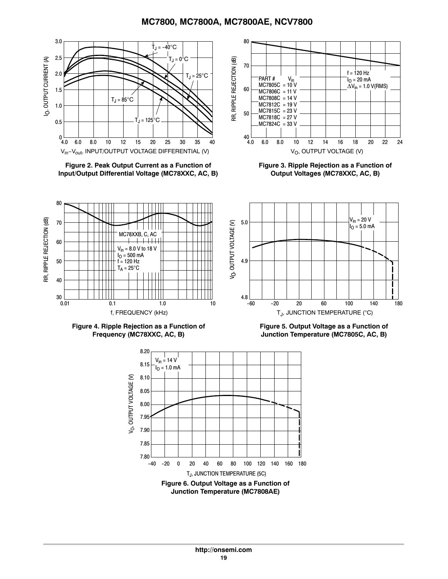

**Figure 2. Peak Output Current as a Function of Input/Output Differential Voltage (MC78XXC, AC, B)**



**Figure 3. Ripple Rejection as a Function of Output Voltages (MC78XXC, AC, B)**





RR, RIPPLE REJECTION (dB)

RR, RIPPLE REJECTION (dB)

**Figure 5. Output Voltage as a Function of Junction Temperature (MC7805C, AC, B)**

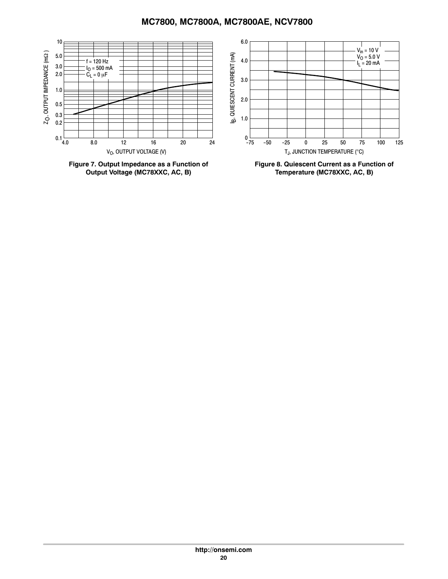

**Figure 7. Output Impedance as a Function of Output Voltage (MC78XXC, AC, B)**

**Figure 8. Quiescent Current as a Function of Temperature (MC78XXC, AC, B)**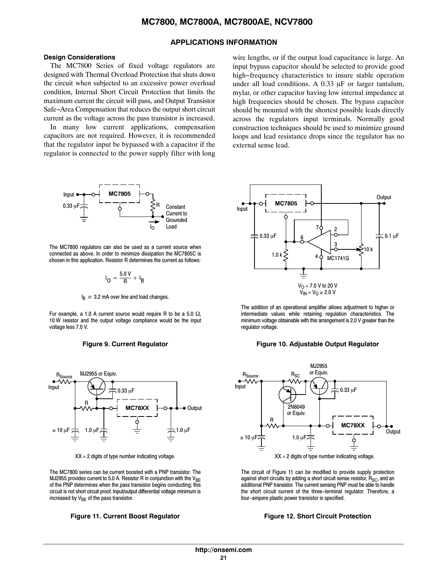#### **APPLICATIONS INFORMATION**

#### **Design Considerations**

The MC7800 Series of fixed voltage regulators are designed with Thermal Overload Protection that shuts down the circuit when subjected to an excessive power overload condition, Internal Short Circuit Protection that limits the maximum current the circuit will pass, and Output Transistor Safe−Area Compensation that reduces the output short circuit current as the voltage across the pass transistor is increased.

In many low current applications, compensation capacitors are not required. However, it is recommended that the regulator input be bypassed with a capacitor if the regulator is connected to the power supply filter with long wire lengths, or if the output load capacitance is large. An input bypass capacitor should be selected to provide good high−frequency characteristics to insure stable operation under all load conditions. A  $0.33 \mu$ F or larger tantalum, mylar, or other capacitor having low internal impedance at high frequencies should be chosen. The bypass capacitor should be mounted with the shortest possible leads directly across the regulators input terminals. Normally good construction techniques should be used to minimize ground loops and lead resistance drops since the regulator has no external sense lead.



The MC7800 regulators can also be used as a current source when connected as above. In order to minimize dissipation the MC7805C is chosen in this application. Resistor R determines the current as follows:

$$
I_{\mathbf{O}} = \frac{5.0 \text{ V}}{R} + I_{\mathbf{B}}
$$

 $I_B \approx 3.2$  mA over line and load changes.

For example, a 1.0 A current source would require R to be a 5.0  $\Omega$ , 10 W resistor and the output voltage compliance would be the input voltage less 7.0 V.





 $XX = 2$  digits of type number indicating voltage.

The MC7800 series can be current boosted with a PNP transistor. The MJ2955 provides current to 5.0 A. Resistor R in conjunction with the  $V_{BE}$ of the PNP determines when the pass transistor begins conducting; this circuit is not short circuit proof. Input/output differential voltage minimum is increased by  $V_{BF}$  of the pass transistor.

#### **Figure 11. Current Boost Regulator Figure 12. Short Circuit Protection**



The addition of an operational amplifier allows adjustment to higher or intermediate values while retaining regulation characteristics. The minimum voltage obtainable with this arrangement is 2.0 V greater than the regulator voltage.

#### **Figure 9. Current Regulator Figure 10. Adjustable Output Regulator**



The circuit of Figure 11 can be modified to provide supply protection against short circuits by adding a short circuit sense resistor,  $R_{SC}$ , and an additional PNP transistor. The current sensing PNP must be able to handle the short circuit current of the three-terminal regulator. Therefore, a four-ampere plastic power transistor is specified.

#### **http://onsemi.com 21**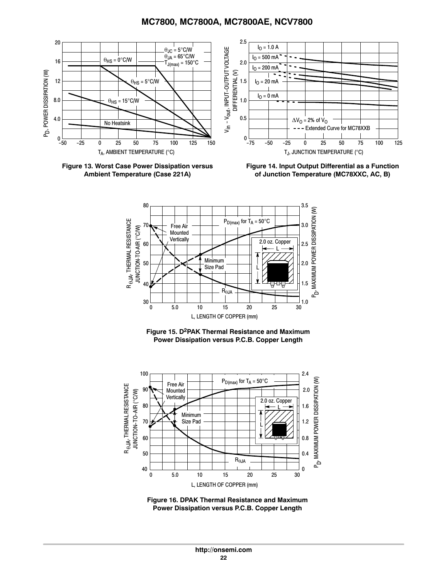<span id="page-21-0"></span>

**Figure 13. Worst Case Power Dissipation versus Ambient Temperature (Case 221A)**

**Figure 14. Input Output Differential as a Function of Junction Temperature (MC78XXC, AC, B)**







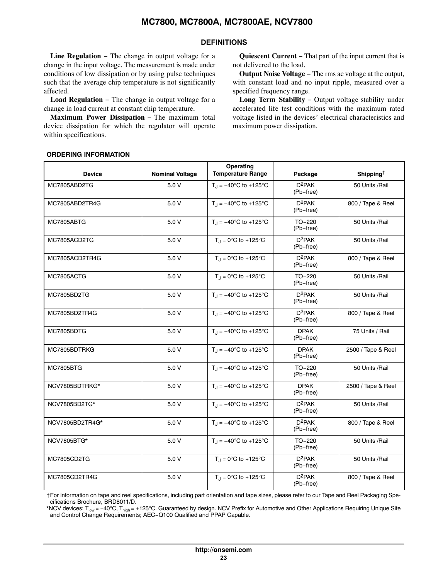#### **DEFINITIONS**

<span id="page-22-0"></span>**Line Regulation** − The change in output voltage for a change in the input voltage. The measurement is made under conditions of low dissipation or by using pulse techniques such that the average chip temperature is not significantly affected.

**Load Regulation** − The change in output voltage for a change in load current at constant chip temperature.

**Maximum Power Dissipation** − The maximum total device dissipation for which the regulator will operate within specifications.

**Quiescent Current** − That part of the input current that is not delivered to the load.

**Output Noise Voltage** − The rms ac voltage at the output, with constant load and no input ripple, measured over a specified frequency range.

**Long Term Stability** − Output voltage stability under accelerated life test conditions with the maximum rated voltage listed in the devices' electrical characteristics and maximum power dissipation.

#### **ORDERING INFORMATION**

| <b>Device</b>      | <b>Nominal Voltage</b> | Operating<br><b>Temperature Range</b>           | Package                  | Shipping <sup><math>\dagger</math></sup> |
|--------------------|------------------------|-------------------------------------------------|--------------------------|------------------------------------------|
| MC7805ABD2TG       | 5.0V                   | $T_{\text{H}} = -40^{\circ}$ C to +125°C        | $D^2PAK$<br>(Pb-free)    | 50 Units /Rail                           |
| MC7805ABD2TR4G     | 5.0V                   | $T_{\rm J} = -40^{\circ}$ C to +125°C           | $D^2PAK$<br>(Pb-free)    | 800 / Tape & Reel                        |
| MC7805ABTG         | 5.0V                   | $T_{\rm J} = -40^{\circ}$ C to +125°C           | TO-220<br>(Pb-free)      | 50 Units /Rail                           |
| MC7805ACD2TG       | 5.0 V                  | $T_J = 0^\circ C$ to +125°C                     | $D^2PAK$<br>(Pb-free)    | 50 Units /Rail                           |
| MC7805ACD2TR4G     | 5.0 V                  | $T_{J} = 0^{\circ}C$ to +125°C                  | $D^2PAK$<br>(Pb-free)    | 800 / Tape & Reel                        |
| MC7805ACTG         | 5.0 V                  | $T_J = 0^\circ C$ to +125°C                     | TO-220<br>(Pb-free)      | 50 Units /Rail                           |
| MC7805BD2TG        | 5.0V                   | $T_{\rm J} = -40^{\circ}$ C to +125°C           | $D^2PAK$<br>(Pb-free)    | 50 Units /Rail                           |
| MC7805BD2TR4G      | 5.0 V                  | $T_J = -40^{\circ}C$ to +125°C                  | $D^2PAK$<br>(Pb-free)    | 800 / Tape & Reel                        |
| MC7805BDTG         | 5.0V                   | $T_{\text{H}} = -40^{\circ} \text{C}$ to +125°C | <b>DPAK</b><br>(Pb-free) | 75 Units / Rail                          |
| MC7805BDTRKG       | 5.0V                   | $T_{\rm J} = -40^{\circ}$ C to +125°C           | <b>DPAK</b><br>(Pb-free) | 2500 / Tape & Reel                       |
| <b>MC7805BTG</b>   | 5.0V                   | $T_{\rm J} = -40^{\circ}$ C to +125°C           | TO-220<br>(Pb-free)      | 50 Units /Rail                           |
| NCV7805BDTRKG*     | 5.0V                   | $T_{\rm J} = -40^{\circ}$ C to +125°C           | <b>DPAK</b><br>(Pb-free) | 2500 / Tape & Reel                       |
| NCV7805BD2TG*      | 5.0 V                  | $T_{\rm J} = -40^{\circ}$ C to +125°C           | $D^2PAK$<br>(Pb-free)    | 50 Units /Rail                           |
| NCV7805BD2TR4G*    | 5.0 V                  | $T_{\rm J} = -40^{\circ}$ C to +125°C           | $D^2PAK$<br>(Pb-free)    | 800 / Tape & Reel                        |
| <b>NCV7805BTG*</b> | 5.0V                   | $T_J = -40^{\circ}C$ to +125°C                  | TO-220<br>(Pb-free)      | 50 Units /Rail                           |
| MC7805CD2TG        | 5.0V                   | $T_{J} = 0^{\circ}C$ to +125°C                  | $D^2PAK$<br>(Pb-free)    | 50 Units /Rail                           |
| MC7805CD2TR4G      | 5.0V                   | $T_J = 0^\circ C$ to +125°C                     | $D^2PAK$<br>(Pb-free)    | 800 / Tape & Reel                        |

†For information on tape and reel specifications, including part orientation and tape sizes, please refer to our Tape and Reel Packaging Specifications Brochure, BRD8011/D.

\*NCV devices: T<sub>low</sub> = −40°C, T<sub>high</sub> = +125°C. Guaranteed by design. NCV Prefix for Automotive and Other Applications Requiring Unique Site and Control Change Requirements; AEC−Q100 Qualified and PPAP Capable.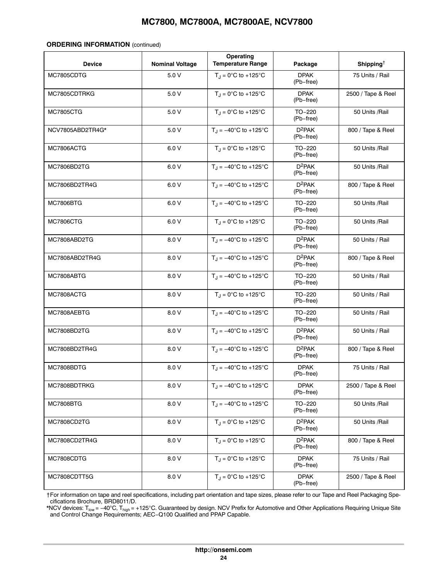#### **ORDERING INFORMATION** (continued)

| <b>Device</b>    | <b>Nominal Voltage</b> | Operating<br><b>Temperature Range</b>           | Package                         | Shipping <sup><math>\dagger</math></sup> |
|------------------|------------------------|-------------------------------------------------|---------------------------------|------------------------------------------|
| MC7805CDTG       | 5.0V                   | $T_J = 0^\circ C$ to +125°C                     | <b>DPAK</b><br>(Pb-free)        | 75 Units / Rail                          |
| MC7805CDTRKG     | 5.0V                   | $T_{\text{J}} = 0^{\circ}C$ to +125°C           | <b>DPAK</b><br>(Pb-free)        | 2500 / Tape & Reel                       |
| <b>MC7805CTG</b> | 5.0 V                  | $T_{\text{J}}$ = 0°C to +125°C                  | TO-220<br>(Pb-free)             | 50 Units /Rail                           |
| NCV7805ABD2TR4G* | 5.0V                   | $T_J = -40^{\circ}C$ to +125°C                  | $D^2PAK$<br>(Pb-free)           | 800 / Tape & Reel                        |
| MC7806ACTG       | 6.0 V                  | $T_{\text{J}} = 0^{\circ}C$ to +125°C           | TO-220<br>(Pb-free)             | 50 Units /Rail                           |
| MC7806BD2TG      | 6.0 V                  | $T_J = -40^{\circ}C$ to +125°C                  | $D^2PAK$<br>(Pb-free)           | 50 Units /Rail                           |
| MC7806BD2TR4G    | 6.0V                   | $T_{\rm J} = -40^{\circ}$ C to +125°C           | $D^2PAK$<br>(Pb-free)           | 800 / Tape & Reel                        |
| <b>MC7806BTG</b> | 6.0 V                  | $T_J = -40^{\circ}C$ to +125°C                  | TO-220<br>(Pb-free)             | 50 Units /Rail                           |
| <b>MC7806CTG</b> | 6.0V                   | $T_{J} = 0^{\circ}C$ to +125°C                  | TO-220<br>(Pb-free)             | 50 Units /Rail                           |
| MC7808ABD2TG     | 8.0 V                  | $T_J = -40^{\circ}C$ to +125°C                  | $D^2PAK$<br>(Pb-free)           | 50 Units / Rail                          |
| MC7808ABD2TR4G   | 8.0 V                  | $T_{\text{J}} = -40^{\circ} \text{C}$ to +125°C | $D^2PAK$<br>(Pb-free)           | 800 / Tape & Reel                        |
| MC7808ABTG       | 8.0 V                  | $T_J = -40^{\circ}C$ to +125°C                  | $TO-220$<br>(Pb-free)           | 50 Units / Rail                          |
| MC7808ACTG       | 8.0 V                  | $T_J = 0^\circ C$ to +125°C                     | TO-220<br>(Pb-free)             | 50 Units / Rail                          |
| MC7808AEBTG      | 8.0 V                  | $T_{\rm J} = -40^{\circ}$ C to +125°C           | TO-220<br>(Pb-free)             | 50 Units / Rail                          |
| MC7808BD2TG      | 8.0 V                  | $T_{\text{H}} = -40^{\circ}$ C to +125°C        | $D^2PAK$<br>(Pb-free)           | 50 Units / Rail                          |
| MC7808BD2TR4G    | 8.0 V                  | $T_{\rm J} = -40^{\circ}$ C to +125°C           | $D^2PAK$<br>(Pb-free)           | 800 / Tape & Reel                        |
| MC7808BDTG       | 8.0 V                  | $T_J = -40^{\circ}C$ to +125°C                  | <b>DPAK</b><br>(Pb-free)        | 75 Units / Rail                          |
| MC7808BDTRKG     | 8.0 V                  | $T_{\text{H}} = -40^{\circ}$ C to +125°C        | <b>DPAK</b><br>(Pb-free)        | 2500 / Tape & Reel                       |
| <b>MC7808BTG</b> | 8.0 V                  | $T_{\rm J} = -40^{\circ}$ C to +125°C           | TO-220<br>(Pb-free)             | 50 Units /Rail                           |
| MC7808CD2TG      | 8.0 V                  | $T_{\text{J}}$ = 0°C to +125°C                  | D <sup>2</sup> PAK<br>(Pb-free) | 50 Units /Rail                           |
| MC7808CD2TR4G    | 8.0 V                  | $T_J = 0^\circ C$ to +125°C                     | $D^2PAK$<br>(Pb–free)           | 800 / Tape & Reel                        |
| MC7808CDTG       | 8.0 V                  | $T_J = 0^\circ C$ to +125°C                     | <b>DPAK</b><br>(Pb-free)        | 75 Units / Rail                          |
| MC7808CDTT5G     | 8.0 V                  | $T_J = 0$ °C to +125°C                          | <b>DPAK</b><br>(Pb-free)        | 2500 / Tape & Reel                       |

†For information on tape and reel specifications, including part orientation and tape sizes, please refer to our Tape and Reel Packaging Specifications Brochure, BRD8011/D.

\*NCV devices: T<sub>low</sub> = –40°C, T<sub>high</sub> = +125°C. Guaranteed by design. NCV Prefix for Automotive and Other Applications Requiring Unique Site and Control Change Requirements; AEC−Q100 Qualified and PPAP Capable.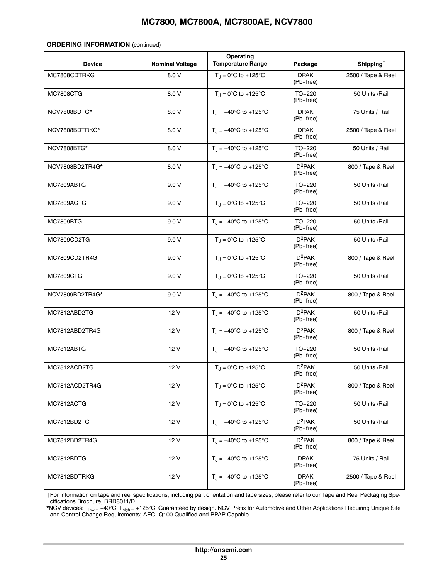#### **ORDERING INFORMATION** (continued)

| <b>Device</b>      | <b>Nominal Voltage</b> | Operating<br><b>Temperature Range</b>           | Package                  | Shipping <sup>†</sup> |
|--------------------|------------------------|-------------------------------------------------|--------------------------|-----------------------|
| MC7808CDTRKG       | 8.0 V                  | $T_{\rm J} = 0^{\circ}C$ to +125°C              | <b>DPAK</b><br>(Pb-free) | 2500 / Tape & Reel    |
| <b>MC7808CTG</b>   | 8.0 V                  | $T_{\text{J}} = 0^{\circ}C$ to +125°C           | $TO-220$<br>(Pb-free)    | 50 Units /Rail        |
| NCV7808BDTG*       | 8.0 V                  | $T_{J} = -40^{\circ}C$ to +125°C                | <b>DPAK</b><br>(Pb-free) | 75 Units / Rail       |
| NCV7808BDTRKG*     | 8.0 V                  | $T_{\rm J} = -40^{\circ}$ C to +125°C           | <b>DPAK</b><br>(Pb-free) | 2500 / Tape & Reel    |
| <b>NCV7808BTG*</b> | 8.0 V                  | $T_{\text{H}} = -40^{\circ}$ C to +125°C        | TO-220<br>(Pb-free)      | 50 Units / Rail       |
| NCV7808BD2TR4G*    | 8.0 V                  | $T_{\rm J} = -40^{\circ}$ C to +125°C           | $D^2PAK$<br>(Pb-free)    | 800 / Tape & Reel     |
| MC7809ABTG         | 9.0V                   | $T_{\rm J} = -40^{\circ}$ C to +125°C           | TO-220<br>(Pb-free)      | 50 Units /Rail        |
| MC7809ACTG         | 9.0V                   | $T_{\text{d}} = 0^{\circ}C$ to +125°C           | TO-220<br>(Pb-free)      | 50 Units /Rail        |
| <b>MC7809BTG</b>   | 9.0V                   | $T_{\text{J}} = -40^{\circ} \text{C}$ to +125°C | TO-220<br>(Pb-free)      | 50 Units /Rail        |
| MC7809CD2TG        | 9.0V                   | $T_{\text{J}} = 0^{\circ}C$ to +125°C           | $D^2PAK$<br>(Pb–free)    | 50 Units /Rail        |
| MC7809CD2TR4G      | 9.0V                   | $T_J = 0^\circ C$ to +125°C                     | $D^2PAK$<br>(Pb-free)    | 800 / Tape & Reel     |
| <b>MC7809CTG</b>   | 9.0V                   | $T_J = 0^\circ C$ to +125°C                     | TO-220<br>(Pb-free)      | 50 Units /Rail        |
| NCV7809BD2TR4G*    | 9.0V                   | $T_J = -40^{\circ}C$ to +125°C                  | $D^2PAK$<br>(Pb-free)    | 800 / Tape & Reel     |
| MC7812ABD2TG       | 12 V                   | $T_{\rm J} = -40^{\circ}$ C to +125°C           | $D^2PAK$<br>(Pb-free)    | 50 Units /Rail        |
| MC7812ABD2TR4G     | 12 V                   | $T_{\text{H}} = -40^{\circ}$ C to +125°C        | $D^2PAK$<br>(Pb-free)    | 800 / Tape & Reel     |
| MC7812ABTG         | 12 V                   | $T_{\rm J} = -40^{\circ}$ C to +125°C           | TO-220<br>(Pb-free)      | 50 Units /Rail        |
| MC7812ACD2TG       | 12V                    | $T_J = 0^\circ C$ to +125°C                     | $D^2PAK$<br>(Pb-free)    | 50 Units /Rail        |
| MC7812ACD2TR4G     | 12 V                   | $T_J = 0$ °C to +125°C                          | $D^2PAK$<br>(Pb-free)    | 800 / Tape & Reel     |
| MC7812ACTG         | 12 V                   | $T_J = 0^\circ C$ to +125°C                     | TO-220<br>(Pb-free)      | 50 Units /Rail        |
| MC7812BD2TG        | 12 V                   | $T_{\text{H}} = -40^{\circ}$ C to +125°C        | $D^2PAK$<br>(Pb-free)    | 50 Units /Rail        |
| MC7812BD2TR4G      | 12 V                   | $T_J = -40^{\circ}C$ to $+125^{\circ}C$         | $D^2PAK$<br>(Pb-free)    | 800 / Tape & Reel     |
| MC7812BDTG         | 12 V                   | $T_J = -40^{\circ}C$ to +125°C                  | <b>DPAK</b><br>(Pb-free) | 75 Units / Rail       |
| MC7812BDTRKG       | 12 V                   | $T_{\rm J} = -40^{\circ}$ C to +125°C           | <b>DPAK</b><br>(Pb-free) | 2500 / Tape & Reel    |

†For information on tape and reel specifications, including part orientation and tape sizes, please refer to our Tape and Reel Packaging Specifications Brochure, BRD8011/D.

\*NCV devices: T<sub>low</sub> = –40°C, T<sub>high</sub> = +125°C. Guaranteed by design. NCV Prefix for Automotive and Other Applications Requiring Unique Site and Control Change Requirements; AEC−Q100 Qualified and PPAP Capable.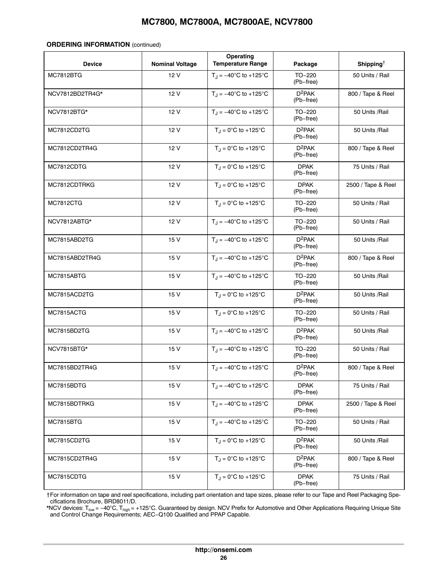#### **ORDERING INFORMATION** (continued)

| <b>Device</b>    | <b>Nominal Voltage</b> | Operating<br><b>Temperature Range</b>           | Package                  | Shipping <sup>†</sup> |
|------------------|------------------------|-------------------------------------------------|--------------------------|-----------------------|
| <b>MC7812BTG</b> | 12V                    | $T_J = -40^{\circ}C$ to +125°C                  | TO-220<br>(Pb-free)      | 50 Units / Rail       |
| NCV7812BD2TR4G*  | 12 V                   | $T_{J} = -40^{\circ}C$ to +125°C                | $D^2PAK$<br>(Pb-free)    | 800 / Tape & Reel     |
| NCV7812BTG*      | 12 V                   | $T_{\rm J} = -40^{\circ}$ C to +125°C           | TO-220<br>(Pb-free)      | 50 Units /Rail        |
| MC7812CD2TG      | 12 V                   | $T_{\text{J}} = 0^{\circ}C$ to +125 $^{\circ}C$ | $D^2PAK$<br>(Pb-free)    | 50 Units /Rail        |
| MC7812CD2TR4G    | 12 V                   | $T_{J} = 0^{\circ}C$ to +125°C                  | $D^2PAK$<br>(Pb-free)    | 800 / Tape & Reel     |
| MC7812CDTG       | 12 V                   | $T_J = 0$ °C to +125°C                          | <b>DPAK</b><br>(Pb-free) | 75 Units / Rail       |
| MC7812CDTRKG     | 12V                    | $T_{J} = 0^{\circ}C$ to +125°C                  | <b>DPAK</b><br>(Pb-free) | 2500 / Tape & Reel    |
| <b>MC7812CTG</b> | 12 V                   | $T_J = 0$ °C to +125°C                          | TO-220<br>(Pb-free)      | 50 Units / Rail       |
| NCV7812ABTG*     | 12V                    | $T_{\text{J}} = -40^{\circ} \text{C}$ to +125°C | TO-220<br>(Pb-free)      | 50 Units / Rail       |
| MC7815ABD2TG     | 15 V                   | $T_J = -40^{\circ}C$ to +125°C                  | $D^2PAK$<br>(Pb-free)    | 50 Units /Rail        |
| MC7815ABD2TR4G   | 15 V                   | $T_{J} = -40^{\circ}C$ to +125°C                | $D^2PAK$<br>(Pb-free)    | 800 / Tape & Reel     |
| MC7815ABTG       | 15 V                   | $T_J = -40^{\circ}C$ to +125°C                  | TO-220<br>(Pb-free)      | 50 Units /Rail        |
| MC7815ACD2TG     | 15 V                   | $T_J = 0^\circ C$ to +125°C                     | $D^2PAK$<br>(Pb-free)    | 50 Units /Rail        |
| MC7815ACTG       | 15 V                   | $T_J = 0^\circ C$ to +125°C                     | TO-220<br>(Pb-free)      | 50 Units / Rail       |
| MC7815BD2TG      | 15 V                   | $T_{\text{H}} = -40^{\circ}$ C to +125°C        | $D^2PAK$<br>(Pb-free)    | 50 Units /Rail        |
| NCV7815BTG*      | 15 V                   | $T_{\rm J} = -40^{\circ}$ C to +125°C           | TO-220<br>(Pb-free)      | 50 Units / Rail       |
| MC7815BD2TR4G    | 15 V                   | $T_J = -40^{\circ}C$ to +125°C                  | $D^2PAK$<br>(Pb-free)    | 800 / Tape & Reel     |
| MC7815BDTG       | 15 V                   | $T_{\rm J} = -40^{\circ}$ C to +125°C           | <b>DPAK</b><br>(Pb-free) | 75 Units / Rail       |
| MC7815BDTRKG     | 15 V                   | $T_J = -40^{\circ}C$ to +125°C                  | <b>DPAK</b><br>(Pb-free) | 2500 / Tape & Reel    |
| <b>MC7815BTG</b> | 15 V                   | $T_{\text{H}} = -40^{\circ} \text{C}$ to +125°C | TO-220<br>(Pb-free)      | 50 Units / Rail       |
| MC7815CD2TG      | 15 V                   | $T_J = 0^\circ C$ to +125°C                     | $D^2PAK$<br>(Pb-free)    | 50 Units /Rail        |
| MC7815CD2TR4G    | 15 V                   | $T_J = 0^\circ C$ to +125°C                     | $D^2PAK$<br>(Pb-free)    | 800 / Tape & Reel     |
| MC7815CDTG       | 15 V                   | $T_J = 0$ °C to +125°C                          | <b>DPAK</b><br>(Pb-free) | 75 Units / Rail       |

†For information on tape and reel specifications, including part orientation and tape sizes, please refer to our Tape and Reel Packaging Specifications Brochure, BRD8011/D.

\*NCV devices: T<sub>low</sub> = –40°C, T<sub>high</sub> = +125°C. Guaranteed by design. NCV Prefix for Automotive and Other Applications Requiring Unique Site and Control Change Requirements; AEC−Q100 Qualified and PPAP Capable.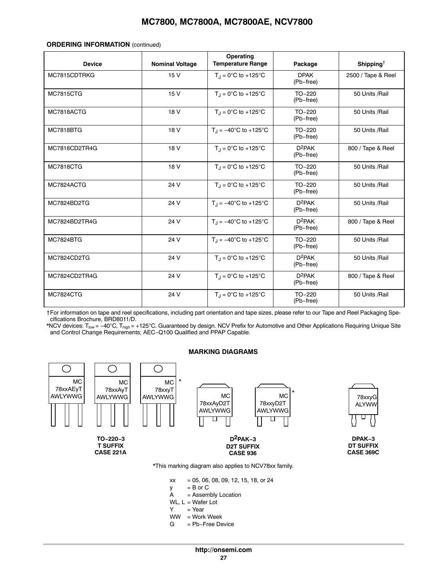#### <span id="page-26-0"></span>**ORDERING INFORMATION** (continued)

| <b>Device</b>    | <b>Nominal Voltage</b> | Operating<br><b>Temperature Range</b>    | Package                  | Shipping <sup>†</sup> |
|------------------|------------------------|------------------------------------------|--------------------------|-----------------------|
| MC7815CDTRKG     | 15V                    | $T_{\rm J} = 0^{\circ}C$ to +125°C       | <b>DPAK</b><br>(Pb-free) | 2500 / Tape & Reel    |
| <b>MC7815CTG</b> | 15V                    | $T_1 = 0$ °C to +125°C                   | TO-220<br>(Pb-free)      | 50 Units /Rail        |
| MC7818ACTG       | 18 V                   | $T_{\rm J}$ = 0°C to +125°C              | $TO-220$<br>(Pb-free)    | 50 Units /Rail        |
| <b>MC7818BTG</b> | 18 V                   | $T_{\text{H}} = -40^{\circ}$ C to +125°C | $TO-220$<br>(Pb-free)    | 50 Units /Rail        |
| MC7818CD2TR4G    | 18 V                   | $T_1 = 0$ °C to +125°C                   | $D^2PAK$<br>(Pb-free)    | 800 / Tape & Reel     |
| <b>MC7818CTG</b> | 18 V                   | $T_{J} = 0^{\circ}C$ to +125°C           | $TO-220$<br>(Pb-free)    | 50 Units /Rail        |
| MC7824ACTG       | 24 V                   | $T_1 = 0$ °C to +125°C                   | $TO-220$<br>(Pb-free)    | 50 Units /Rail        |
| MC7824BD2TG      | 24 V                   | $T_{\text{H}} = -40^{\circ}$ C to +125°C | $D^2PAK$<br>(Pb-free)    | 50 Units /Rail        |
| MC7824BD2TR4G    | 24 V                   | $T_1 = -40^{\circ}$ C to +125°C          | $D^2PAK$<br>(Pb-free)    | 800 / Tape & Reel     |
| <b>MC7824BTG</b> | 24 V                   | $T_{\text{H}} = -40^{\circ}$ C to +125°C | $TO-220$<br>(Pb-free)    | 50 Units /Rail        |
| MC7824CD2TG      | 24 V                   | $T_{\text{J}}$ = 0°C to +125°C           | $D^2PAK$<br>(Pb-free)    | 50 Units /Rail        |
| MC7824CD2TR4G    | 24 V                   | $T_{\text{H}} = 0^{\circ}C$ to +125°C    | $D^2PAK$<br>(Pb-free)    | 800 / Tape & Reel     |
| <b>MC7824CTG</b> | 24 V                   | $T_{\text{H}} = 0^{\circ}C$ to +125°C    | $TO-220$<br>(Pb-free)    | 50 Units /Rail        |

†For information on tape and reel specifications, including part orientation and tape sizes, please refer to our Tape and Reel Packaging Specifications Brochure, BRD8011/D.

\*NCV devices: T<sub>low</sub> = −40°C, T<sub>high</sub> = +125°C. Guaranteed by design. NCV Prefix for Automotive and Other Applications Requiring Unique Site and Control Change Requirements; AEC−Q100 Qualified and PPAP Capable.



#### **MARKING DIAGRAMS**

- $xx = 05, 06, 08, 09, 12, 15, 18, or 24$
- $y = B$  or C<br>A = Assem
- = Assembly Location
- WL,  $L = Water$  Lot
- $Y = Year$
- WW = Work Week
- G = Pb−Free Device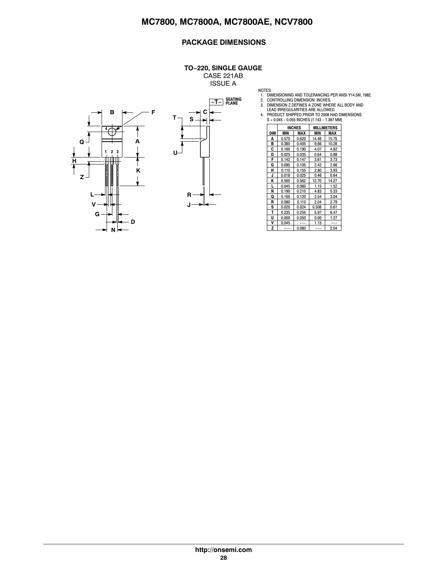#### **PACKAGE DIMENSIONS**

#### **TO−220, SINGLE GAUGE**

CASE 221AB ISSUE A





| NOTES: |     |       |               |                                   |                                             |                                                     |
|--------|-----|-------|---------------|-----------------------------------|---------------------------------------------|-----------------------------------------------------|
| 1.     |     |       |               |                                   |                                             | DIMENSIONING AND TOLERANCING PER ANSI Y14.5M, 1982. |
|        |     |       |               | 2. CONTROLLING DIMENSION: INCHES. |                                             |                                                     |
| 3.     |     |       |               |                                   |                                             | DIMENSION Z DEFINES A ZONE WHERE ALL BODY AND       |
|        |     |       |               | LEAD IRREGULARITIES ARE ALLOWED.  |                                             |                                                     |
| 4.     |     |       |               |                                   |                                             | PRODUCT SHIPPED PRIOR TO 2008 HAD DIMENSIONS        |
|        |     |       |               |                                   | S = 0.045 - 0.055 INCHES (1.143 - 1.397 MM) |                                                     |
|        |     |       | <b>INCHES</b> |                                   | <b>MILLIMETERS</b>                          |                                                     |
|        | DIM | MIN   | <b>MAX</b>    | MIN                               | MAX                                         |                                                     |
|        | Α   | 0.570 | 0.620         | 14.48                             | 15.75                                       |                                                     |
|        | B   | 0.380 | 0.405         | 9.66                              | 10.28                                       |                                                     |
|        | C   | 0.160 | 0.190         | 4.07                              | 4.82                                        |                                                     |
|        | D   | 0.025 | 0.035         | 0.64                              | 0.88                                        |                                                     |
|        | F   | 0.142 | 0.147         | 3.61                              | 3.73                                        |                                                     |
|        | G   | 0.095 | 0.105         | 2.42                              | 2.66                                        |                                                     |
|        | н   | 0.110 | 0.155         | 2.80                              | 3.93                                        |                                                     |
|        | J   | 0.018 | 0.025         | 0.46                              | 0.64                                        |                                                     |
|        | Κ   | 0.500 | 0.562         | 12.70                             | 14.27                                       |                                                     |
|        | L   | 0.045 | 0.060         | 1.15                              | 1.52                                        |                                                     |
|        | N   | 0.190 | 0.210         | 4.83                              | 5.33                                        |                                                     |
|        | Q   | 0.100 | 0.120         | 2.54                              | 3.04                                        |                                                     |
|        | R   | 0.080 | 0.110         | 2.04                              | 2.79                                        |                                                     |
|        | S   | 0.020 | 0.024         | 0.508                             | 0.61                                        |                                                     |
|        | т   | 0.235 | 0.255         | 5.97                              | 6.47                                        |                                                     |

**U** 0.000 0.050 0.00 1.27 **V** 0.045 --- 1.15 --- **Z** --- 0.080 --- 2.04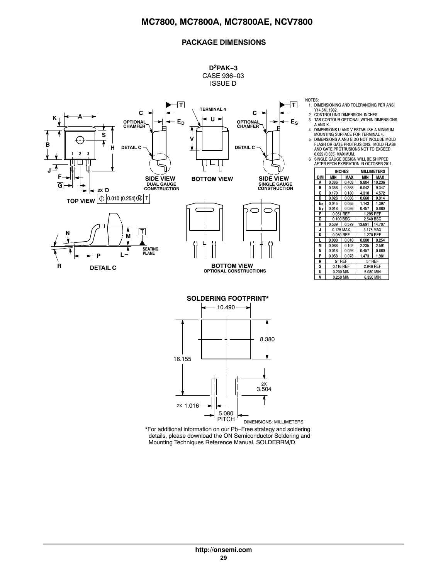#### **PACKAGE DIMENSIONS**



**D2PAK−3** CASE 936−03 ISSUE D

> 1. DIMENSIONING AND TOLERANCING PER ANSI Y14.5M, 1982.

2. CONTROLLING DIMENSION: INCHES.<br>3. TAB CONTOUR OPTIONAL WITHIN DIMENSIONS<br>4. AIND K.<br>4. DIMENSIONS U AND V ESTABLISH A MINIMUM

MOUNTING SURFACE FOR TERMINAL 4. 5. DIMENSIONS A AND B DO NOT INCLUDE MOLD FLASH OR GATE PROTRUSIONS. MOLD FLASH AND GATE PROTRUSIONS NOT TO EXCEED

0.025 (0.635) MAXIMUM. 6. SINGLE GAUGE DESIGN WILL BE SHIPPED AFTER FPCN EXPIRATION IN OCTOBER 2011.

|                |           | <b>INCHES</b>   |                 | MILLIMETERS |  |
|----------------|-----------|-----------------|-----------------|-------------|--|
| DIM            | MIN       | MAX             | MIN             | MAX         |  |
| A              | 0.386     | 0.403           | 9.804           | 10.236      |  |
| в              | 0.356     | 0.368           | 9.042           | 9.347       |  |
| C              | 0.170     | 0.180           | 4.318           | 4.572       |  |
| D              | 0.026     | 0.036           | 0.660           | 0.914       |  |
| E <sub>p</sub> | 0.045     | 0.055           | 1.143           | 1.397       |  |
| E <sub>s</sub> | 0.018     | 0.026           | 0.457           | 0.660       |  |
| F              |           | 0.051 REF       | 1.295 REF       |             |  |
| G              |           | 0.100 BSC       | 2.540 BSC       |             |  |
| н              | 0.539     | 0.579           | 13.691          | 14.707      |  |
| J              |           | 0.125 MAX       | 3.175 MAX       |             |  |
| K              |           | 0.050 REF       |                 | 1.270 REF   |  |
| L              | 0.000     | 0.010           | 0.000           | 0.254       |  |
| M              | 0.088     | 0.102           | 2.235           | 2.591       |  |
| N              | 0.018     | 0.026           | 0.457           | 0.660       |  |
| P              | 0.058     | 0.078           | 1.473           | 1.981       |  |
| R              |           | $5^{\circ}$ REF | $5^{\circ}$ REF |             |  |
| s              |           | 0.116 REF       |                 | 2.946 REF   |  |
| U              | 0.200 MIN |                 | 5.080 MIN       |             |  |
| V              |           | 0.250 MIN       |                 | 6.350 MIN   |  |

Mounting Techniques Reference Manual, SOLDERRM/D.